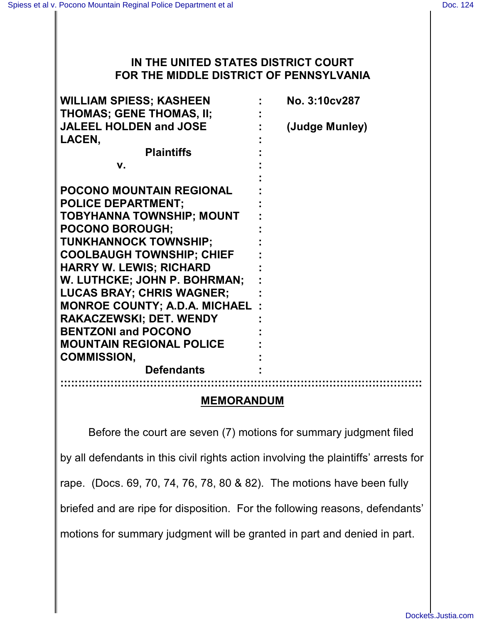## **IN THE UNITED STATES DISTRICT COURT FOR THE MIDDLE DISTRICT OF PENNSYLVANIA**

| <b>WILLIAM SPIESS; KASHEEN</b>        | No. 3:10cv287  |
|---------------------------------------|----------------|
| <b>THOMAS; GENE THOMAS, II;</b>       |                |
| <b>JALEEL HOLDEN and JOSE</b>         | (Judge Munley) |
| LACEN,                                |                |
| <b>Plaintiffs</b>                     |                |
| V.                                    |                |
|                                       |                |
| <b>POCONO MOUNTAIN REGIONAL</b>       |                |
| <b>POLICE DEPARTMENT;</b>             |                |
| <b>TOBYHANNA TOWNSHIP; MOUNT</b>      |                |
| <b>POCONO BOROUGH;</b>                |                |
| <b>TUNKHANNOCK TOWNSHIP;</b>          |                |
| <b>COOLBAUGH TOWNSHIP; CHIEF</b>      |                |
| <b>HARRY W. LEWIS; RICHARD</b>        |                |
| W. LUTHCKE; JOHN P. BOHRMAN;          |                |
| <b>LUCAS BRAY; CHRIS WAGNER;</b>      |                |
| <b>MONROE COUNTY; A.D.A. MICHAEL:</b> |                |
| <b>RAKACZEWSKI; DET. WENDY</b>        |                |
| <b>BENTZONI and POCONO</b>            |                |
| <b>MOUNTAIN REGIONAL POLICE</b>       |                |
| <b>COMMISSION,</b>                    |                |
| <b>Defendants</b>                     |                |
|                                       |                |

#### **MEMORANDUM**

Before the court are seven (7) motions for summary judgment filed by all defendants in this civil rights action involving the plaintiffs' arrests for rape. (Docs. 69, 70, 74, 76, 78, 80 & 82). The motions have been fully briefed and are ripe for disposition. For the following reasons, defendants' motions for summary judgment will be granted in part and denied in part.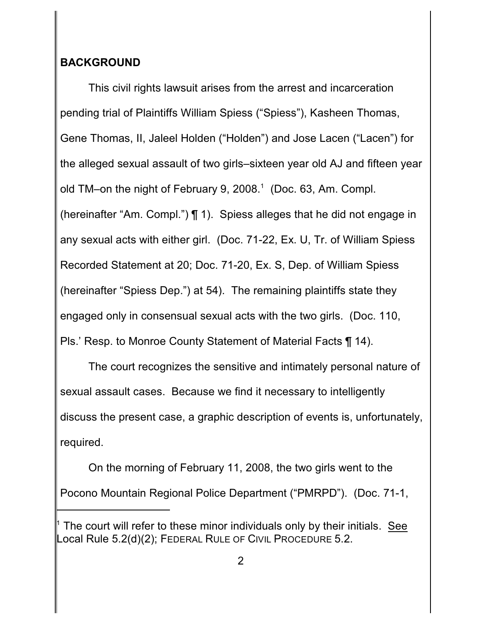# **BACKGROUND**

This civil rights lawsuit arises from the arrest and incarceration pending trial of Plaintiffs William Spiess ("Spiess"), Kasheen Thomas, Gene Thomas, II, Jaleel Holden ("Holden") and Jose Lacen ("Lacen") for the alleged sexual assault of two girls–sixteen year old AJ and fifteen year old TM–on the night of February 9, 2008.<sup>1</sup> (Doc. 63, Am. Compl. (hereinafter "Am. Compl.") ¶ 1). Spiess alleges that he did not engage in any sexual acts with either girl. (Doc. 71-22, Ex. U, Tr. of William Spiess Recorded Statement at 20; Doc. 71-20, Ex. S, Dep. of William Spiess (hereinafter "Spiess Dep.") at 54). The remaining plaintiffs state they engaged only in consensual sexual acts with the two girls. (Doc. 110, Pls.' Resp. to Monroe County Statement of Material Facts ¶ 14).

The court recognizes the sensitive and intimately personal nature of sexual assault cases. Because we find it necessary to intelligently discuss the present case, a graphic description of events is, unfortunately, required.

On the morning of February 11, 2008, the two girls went to the Pocono Mountain Regional Police Department ("PMRPD"). (Doc. 71-1,

The court will refer to these minor individuals only by their initials. See Local Rule 5.2(d)(2); FEDERAL RULE OF CIVIL PROCEDURE 5.2.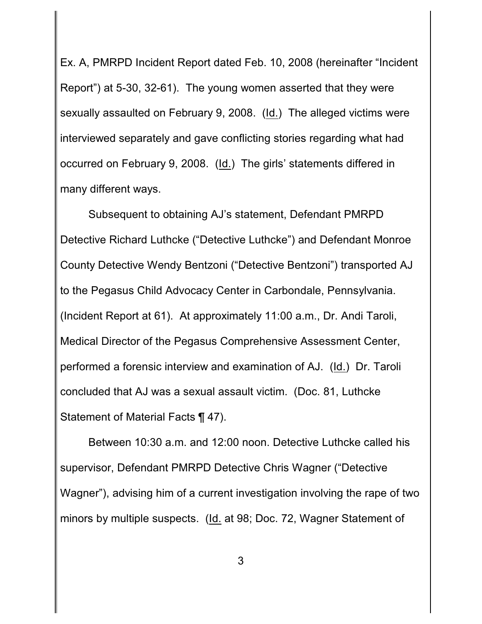Ex. A, PMRPD Incident Report dated Feb. 10, 2008 (hereinafter "Incident Report") at 5-30, 32-61). The young women asserted that they were sexually assaulted on February 9, 2008. (Id.) The alleged victims were interviewed separately and gave conflicting stories regarding what had occurred on February 9, 2008. (Id.) The girls' statements differed in many different ways.

Subsequent to obtaining AJ's statement, Defendant PMRPD Detective Richard Luthcke ("Detective Luthcke") and Defendant Monroe County Detective Wendy Bentzoni ("Detective Bentzoni") transported AJ to the Pegasus Child Advocacy Center in Carbondale, Pennsylvania. (Incident Report at 61). At approximately 11:00 a.m., Dr. Andi Taroli, Medical Director of the Pegasus Comprehensive Assessment Center, performed a forensic interview and examination of AJ. (Id.) Dr. Taroli concluded that AJ was a sexual assault victim. (Doc. 81, Luthcke Statement of Material Facts ¶ 47).

Between 10:30 a.m. and 12:00 noon. Detective Luthcke called his supervisor, Defendant PMRPD Detective Chris Wagner ("Detective Wagner"), advising him of a current investigation involving the rape of two minors by multiple suspects. (Id. at 98; Doc. 72, Wagner Statement of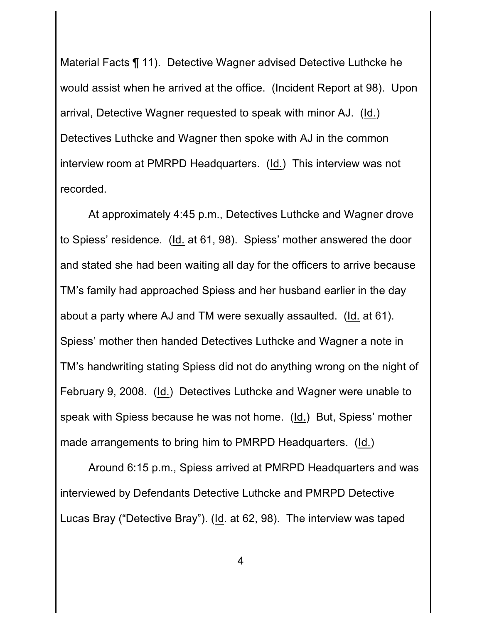Material Facts ¶ 11). Detective Wagner advised Detective Luthcke he would assist when he arrived at the office. (Incident Report at 98). Upon arrival, Detective Wagner requested to speak with minor AJ. (Id.) Detectives Luthcke and Wagner then spoke with AJ in the common interview room at PMRPD Headquarters. (Id.) This interview was not recorded.

At approximately 4:45 p.m., Detectives Luthcke and Wagner drove to Spiess' residence. (Id. at 61, 98). Spiess' mother answered the door and stated she had been waiting all day for the officers to arrive because TM's family had approached Spiess and her husband earlier in the day about a party where AJ and TM were sexually assaulted. (Id. at 61). Spiess' mother then handed Detectives Luthcke and Wagner a note in TM's handwriting stating Spiess did not do anything wrong on the night of February 9, 2008. (Id.) Detectives Luthcke and Wagner were unable to speak with Spiess because he was not home. (Id.) But, Spiess' mother made arrangements to bring him to PMRPD Headquarters. (Id.)

Around 6:15 p.m., Spiess arrived at PMRPD Headquarters and was interviewed by Defendants Detective Luthcke and PMRPD Detective Lucas Bray ("Detective Bray"). (Id. at 62, 98). The interview was taped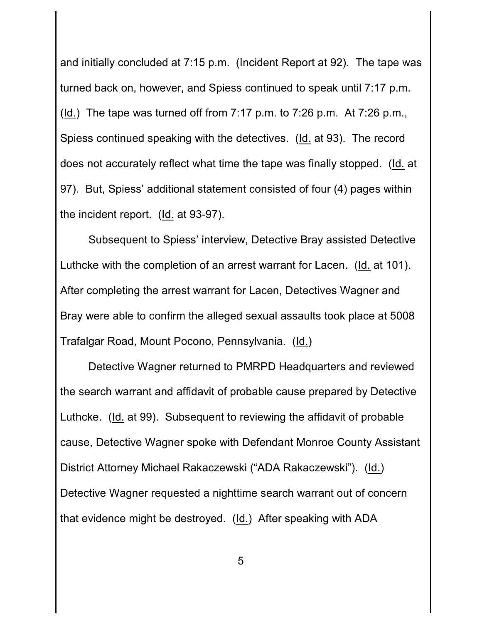and initially concluded at 7:15 p.m. (Incident Report at 92). The tape was turned back on, however, and Spiess continued to speak until 7:17 p.m. (Id.) The tape was turned off from  $7:17$  p.m. to  $7:26$  p.m. At  $7:26$  p.m., Spiess continued speaking with the detectives. (Id. at 93). The record does not accurately reflect what time the tape was finally stopped. (Id. at 97). But, Spiess' additional statement consisted of four (4) pages within the incident report. (Id. at 93-97).

Subsequent to Spiess' interview, Detective Bray assisted Detective Luthcke with the completion of an arrest warrant for Lacen. (Id. at 101). After completing the arrest warrant for Lacen, Detectives Wagner and Bray were able to confirm the alleged sexual assaults took place at 5008 Trafalgar Road, Mount Pocono, Pennsylvania. (Id.)

Detective Wagner returned to PMRPD Headquarters and reviewed the search warrant and affidavit of probable cause prepared by Detective Luthcke. (Id. at 99). Subsequent to reviewing the affidavit of probable cause, Detective Wagner spoke with Defendant Monroe County Assistant District Attorney Michael Rakaczewski ("ADA Rakaczewski"). (Id.) Detective Wagner requested a nighttime search warrant out of concern that evidence might be destroyed. (Id.) After speaking with ADA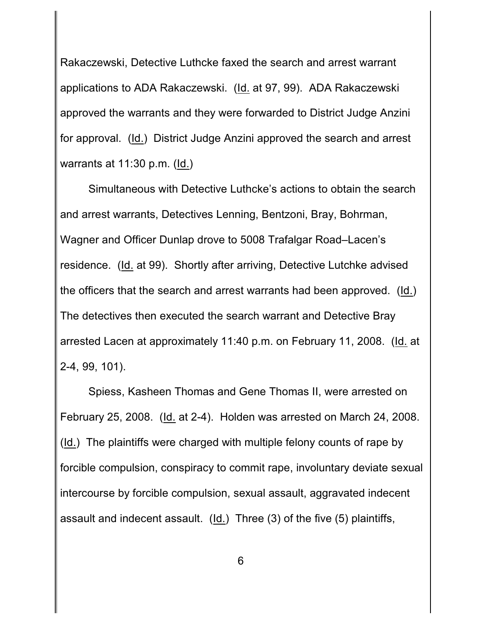Rakaczewski, Detective Luthcke faxed the search and arrest warrant applications to ADA Rakaczewski. (Id. at 97, 99). ADA Rakaczewski approved the warrants and they were forwarded to District Judge Anzini for approval. (Id.) District Judge Anzini approved the search and arrest warrants at  $11:30$  p.m. ( $\underline{Id.}$ )

Simultaneous with Detective Luthcke's actions to obtain the search and arrest warrants, Detectives Lenning, Bentzoni, Bray, Bohrman, Wagner and Officer Dunlap drove to 5008 Trafalgar Road–Lacen's residence. (Id. at 99). Shortly after arriving, Detective Lutchke advised the officers that the search and arrest warrants had been approved. (Id.) The detectives then executed the search warrant and Detective Bray arrested Lacen at approximately 11:40 p.m. on February 11, 2008. (Id. at 2-4, 99, 101).

Spiess, Kasheen Thomas and Gene Thomas II, were arrested on February 25, 2008. (Id. at 2-4). Holden was arrested on March 24, 2008. (Id.) The plaintiffs were charged with multiple felony counts of rape by forcible compulsion, conspiracy to commit rape, involuntary deviate sexual intercourse by forcible compulsion, sexual assault, aggravated indecent assault and indecent assault. (Id.) Three (3) of the five (5) plaintiffs,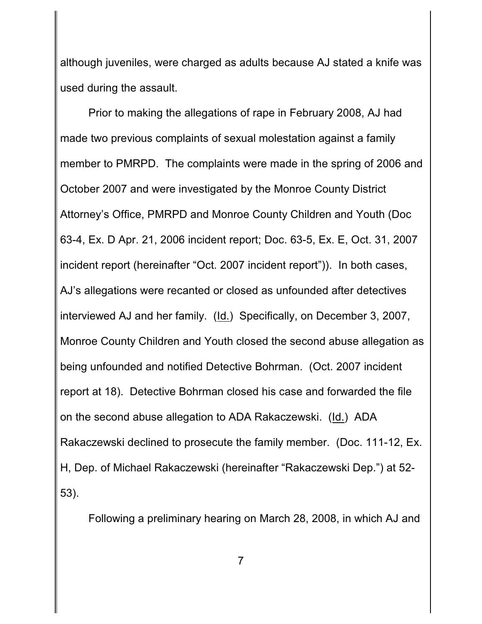although juveniles, were charged as adults because AJ stated a knife was used during the assault.

Prior to making the allegations of rape in February 2008, AJ had made two previous complaints of sexual molestation against a family member to PMRPD. The complaints were made in the spring of 2006 and October 2007 and were investigated by the Monroe County District Attorney's Office, PMRPD and Monroe County Children and Youth (Doc 63-4, Ex. D Apr. 21, 2006 incident report; Doc. 63-5, Ex. E, Oct. 31, 2007 incident report (hereinafter "Oct. 2007 incident report")). In both cases, AJ's allegations were recanted or closed as unfounded after detectives interviewed AJ and her family. (Id.) Specifically, on December 3, 2007, Monroe County Children and Youth closed the second abuse allegation as being unfounded and notified Detective Bohrman. (Oct. 2007 incident report at 18). Detective Bohrman closed his case and forwarded the file on the second abuse allegation to ADA Rakaczewski. (Id.) ADA Rakaczewski declined to prosecute the family member. (Doc. 111-12, Ex. H, Dep. of Michael Rakaczewski (hereinafter "Rakaczewski Dep.") at 52- 53).

Following a preliminary hearing on March 28, 2008, in which AJ and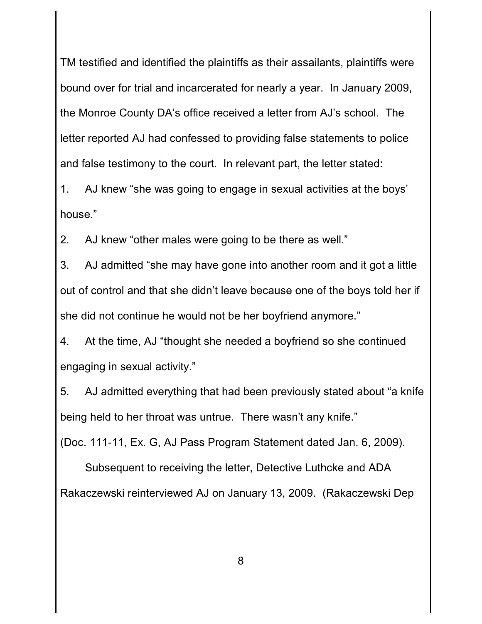TM testified and identified the plaintiffs as their assailants, plaintiffs were bound over for trial and incarcerated for nearly a year. In January 2009, the Monroe County DA's office received a letter from AJ's school. The letter reported AJ had confessed to providing false statements to police and false testimony to the court. In relevant part, the letter stated:

1. AJ knew "she was going to engage in sexual activities at the boys' house."

2. AJ knew "other males were going to be there as well."

3. AJ admitted "she may have gone into another room and it got a little out of control and that she didn't leave because one of the boys told her if she did not continue he would not be her boyfriend anymore."

4. At the time, AJ "thought she needed a boyfriend so she continued engaging in sexual activity."

5. AJ admitted everything that had been previously stated about "a knife being held to her throat was untrue. There wasn't any knife."

(Doc. 111-11, Ex. G, AJ Pass Program Statement dated Jan. 6, 2009).

Subsequent to receiving the letter, Detective Luthcke and ADA Rakaczewski reinterviewed AJ on January 13, 2009. (Rakaczewski Dep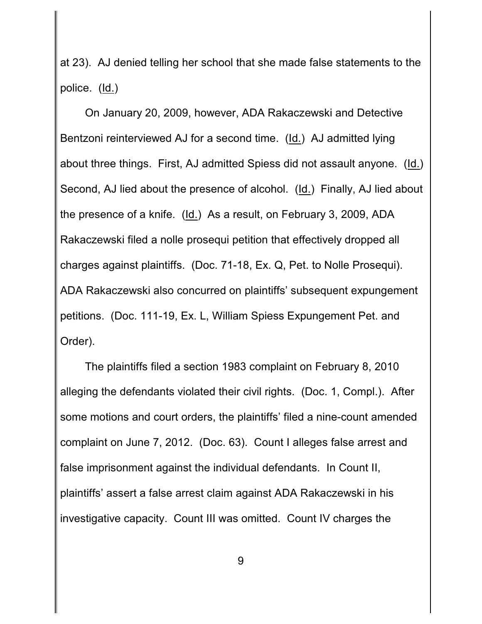at 23). AJ denied telling her school that she made false statements to the police. (Id.)

On January 20, 2009, however, ADA Rakaczewski and Detective Bentzoni reinterviewed AJ for a second time. (Id.) AJ admitted lying about three things. First, AJ admitted Spiess did not assault anyone. (Id.) Second, AJ lied about the presence of alcohol. (Id.) Finally, AJ lied about the presence of a knife. (Id.) As a result, on February 3, 2009, ADA Rakaczewski filed a nolle prosequi petition that effectively dropped all charges against plaintiffs. (Doc. 71-18, Ex. Q, Pet. to Nolle Prosequi). ADA Rakaczewski also concurred on plaintiffs' subsequent expungement petitions. (Doc. 111-19, Ex. L, William Spiess Expungement Pet. and Order).

The plaintiffs filed a section 1983 complaint on February 8, 2010 alleging the defendants violated their civil rights. (Doc. 1, Compl.). After some motions and court orders, the plaintiffs' filed a nine-count amended complaint on June 7, 2012. (Doc. 63). Count I alleges false arrest and false imprisonment against the individual defendants. In Count II, plaintiffs' assert a false arrest claim against ADA Rakaczewski in his investigative capacity. Count III was omitted. Count IV charges the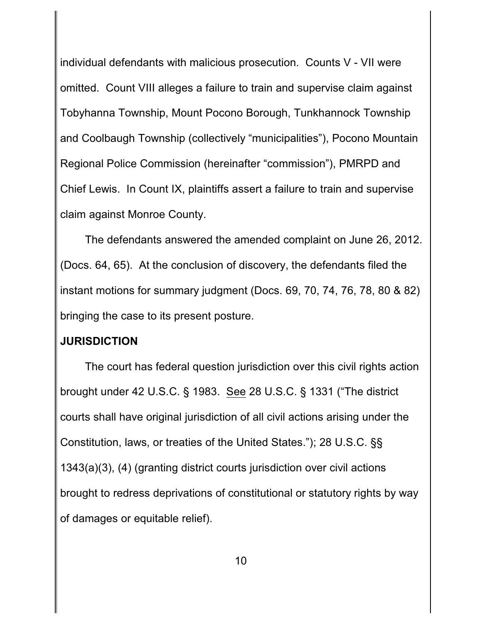individual defendants with malicious prosecution. Counts V - VII were omitted. Count VIII alleges a failure to train and supervise claim against Tobyhanna Township, Mount Pocono Borough, Tunkhannock Township and Coolbaugh Township (collectively "municipalities"), Pocono Mountain Regional Police Commission (hereinafter "commission"), PMRPD and Chief Lewis. In Count IX, plaintiffs assert a failure to train and supervise claim against Monroe County.

The defendants answered the amended complaint on June 26, 2012. (Docs. 64, 65). At the conclusion of discovery, the defendants filed the instant motions for summary judgment (Docs. 69, 70, 74, 76, 78, 80 & 82) bringing the case to its present posture.

## **JURISDICTION**

The court has federal question jurisdiction over this civil rights action brought under 42 U.S.C. § 1983. See 28 U.S.C. § 1331 ("The district courts shall have original jurisdiction of all civil actions arising under the Constitution, laws, or treaties of the United States."); 28 U.S.C. §§ 1343(a)(3), (4) (granting district courts jurisdiction over civil actions brought to redress deprivations of constitutional or statutory rights by way of damages or equitable relief).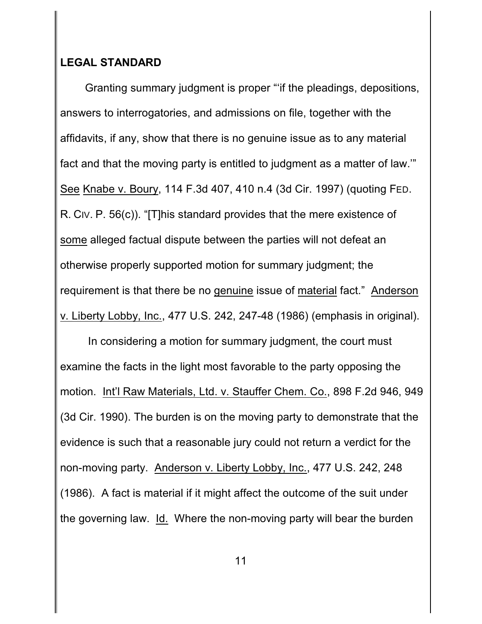### **LEGAL STANDARD**

Granting summary judgment is proper "'if the pleadings, depositions, answers to interrogatories, and admissions on file, together with the affidavits, if any, show that there is no genuine issue as to any material fact and that the moving party is entitled to judgment as a matter of law.'" See Knabe v. Boury, 114 F.3d 407, 410 n.4 (3d Cir. 1997) (quoting FED. R. CIV. P. 56(c)). "[T]his standard provides that the mere existence of some alleged factual dispute between the parties will not defeat an otherwise properly supported motion for summary judgment; the requirement is that there be no genuine issue of material fact." Anderson v. Liberty Lobby, Inc., 477 U.S. 242, 247-48 (1986) (emphasis in original).

 In considering a motion for summary judgment, the court must examine the facts in the light most favorable to the party opposing the motion. Int'l Raw Materials, Ltd. v. Stauffer Chem. Co., 898 F.2d 946, 949 (3d Cir. 1990). The burden is on the moving party to demonstrate that the evidence is such that a reasonable jury could not return a verdict for the non-moving party. Anderson v. Liberty Lobby, Inc., 477 U.S. 242, 248 (1986). A fact is material if it might affect the outcome of the suit under the governing law. Id. Where the non-moving party will bear the burden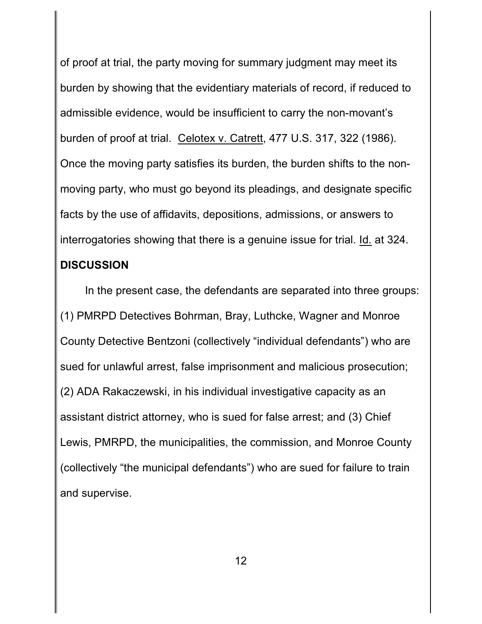of proof at trial, the party moving for summary judgment may meet its burden by showing that the evidentiary materials of record, if reduced to admissible evidence, would be insufficient to carry the non-movant's burden of proof at trial. Celotex v. Catrett, 477 U.S. 317, 322 (1986). Once the moving party satisfies its burden, the burden shifts to the nonmoving party, who must go beyond its pleadings, and designate specific facts by the use of affidavits, depositions, admissions, or answers to interrogatories showing that there is a genuine issue for trial. Id. at 324. **DISCUSSION**

In the present case, the defendants are separated into three groups: (1) PMRPD Detectives Bohrman, Bray, Luthcke, Wagner and Monroe County Detective Bentzoni (collectively "individual defendants") who are sued for unlawful arrest, false imprisonment and malicious prosecution; (2) ADA Rakaczewski, in his individual investigative capacity as an assistant district attorney, who is sued for false arrest; and (3) Chief Lewis, PMRPD, the municipalities, the commission, and Monroe County (collectively "the municipal defendants") who are sued for failure to train and supervise.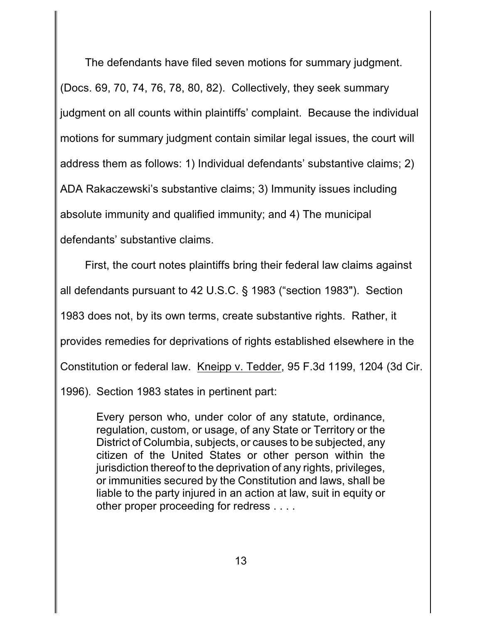The defendants have filed seven motions for summary judgment. (Docs. 69, 70, 74, 76, 78, 80, 82). Collectively, they seek summary judgment on all counts within plaintiffs' complaint. Because the individual motions for summary judgment contain similar legal issues, the court will address them as follows: 1) Individual defendants' substantive claims; 2) ADA Rakaczewski's substantive claims; 3) Immunity issues including absolute immunity and qualified immunity; and 4) The municipal defendants' substantive claims.

First, the court notes plaintiffs bring their federal law claims against all defendants pursuant to 42 U.S.C. § 1983 ("section 1983"). Section 1983 does not, by its own terms, create substantive rights. Rather, it provides remedies for deprivations of rights established elsewhere in the Constitution or federal law. Kneipp v. Tedder, 95 F.3d 1199, 1204 (3d Cir. 1996). Section 1983 states in pertinent part:

Every person who, under color of any statute, ordinance, regulation, custom, or usage, of any State or Territory or the District of Columbia, subjects, or causes to be subjected, any citizen of the United States or other person within the jurisdiction thereof to the deprivation of any rights, privileges, or immunities secured by the Constitution and laws, shall be liable to the party injured in an action at law, suit in equity or other proper proceeding for redress . . . .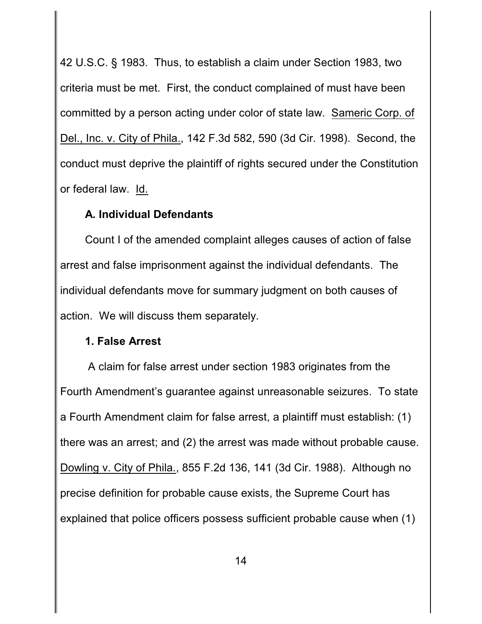42 U.S.C. § 1983. Thus, to establish a claim under Section 1983, two criteria must be met. First, the conduct complained of must have been committed by a person acting under color of state law. Sameric Corp. of Del., Inc. v. City of Phila., 142 F.3d 582, 590 (3d Cir. 1998). Second, the conduct must deprive the plaintiff of rights secured under the Constitution or federal law. Id.

#### **A. Individual Defendants**

Count I of the amended complaint alleges causes of action of false arrest and false imprisonment against the individual defendants. The individual defendants move for summary judgment on both causes of action. We will discuss them separately.

#### **1. False Arrest**

 A claim for false arrest under section 1983 originates from the Fourth Amendment's guarantee against unreasonable seizures. To state a Fourth Amendment claim for false arrest, a plaintiff must establish: (1) there was an arrest; and (2) the arrest was made without probable cause. Dowling v. City of Phila., 855 F.2d 136, 141 (3d Cir. 1988). Although no precise definition for probable cause exists, the Supreme Court has explained that police officers possess sufficient probable cause when (1)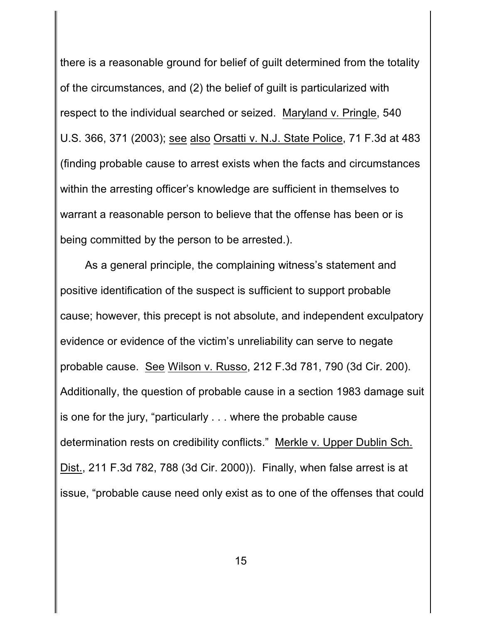there is a reasonable ground for belief of guilt determined from the totality of the circumstances, and (2) the belief of guilt is particularized with respect to the individual searched or seized. Maryland v. Pringle, 540 U.S. 366, 371 (2003); see also Orsatti v. N.J. State Police, 71 F.3d at 483 (finding probable cause to arrest exists when the facts and circumstances within the arresting officer's knowledge are sufficient in themselves to warrant a reasonable person to believe that the offense has been or is being committed by the person to be arrested.).

As a general principle, the complaining witness's statement and positive identification of the suspect is sufficient to support probable cause; however, this precept is not absolute, and independent exculpatory evidence or evidence of the victim's unreliability can serve to negate probable cause. See Wilson v. Russo, 212 F.3d 781, 790 (3d Cir. 200). Additionally, the question of probable cause in a section 1983 damage suit is one for the jury, "particularly . . . where the probable cause determination rests on credibility conflicts." Merkle v. Upper Dublin Sch. Dist., 211 F.3d 782, 788 (3d Cir. 2000)). Finally, when false arrest is at issue, "probable cause need only exist as to one of the offenses that could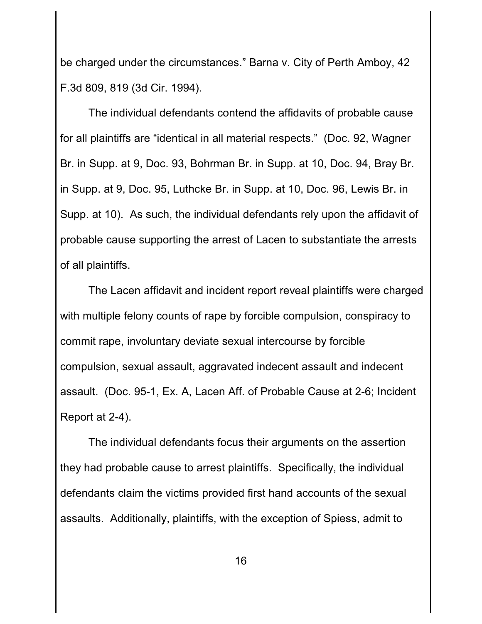be charged under the circumstances." Barna v. City of Perth Amboy, 42 F.3d 809, 819 (3d Cir. 1994).

The individual defendants contend the affidavits of probable cause for all plaintiffs are "identical in all material respects." (Doc. 92, Wagner Br. in Supp. at 9, Doc. 93, Bohrman Br. in Supp. at 10, Doc. 94, Bray Br. in Supp. at 9, Doc. 95, Luthcke Br. in Supp. at 10, Doc. 96, Lewis Br. in Supp. at 10). As such, the individual defendants rely upon the affidavit of probable cause supporting the arrest of Lacen to substantiate the arrests of all plaintiffs.

The Lacen affidavit and incident report reveal plaintiffs were charged with multiple felony counts of rape by forcible compulsion, conspiracy to commit rape, involuntary deviate sexual intercourse by forcible compulsion, sexual assault, aggravated indecent assault and indecent assault. (Doc. 95-1, Ex. A, Lacen Aff. of Probable Cause at 2-6; Incident Report at 2-4).

The individual defendants focus their arguments on the assertion they had probable cause to arrest plaintiffs. Specifically, the individual defendants claim the victims provided first hand accounts of the sexual assaults. Additionally, plaintiffs, with the exception of Spiess, admit to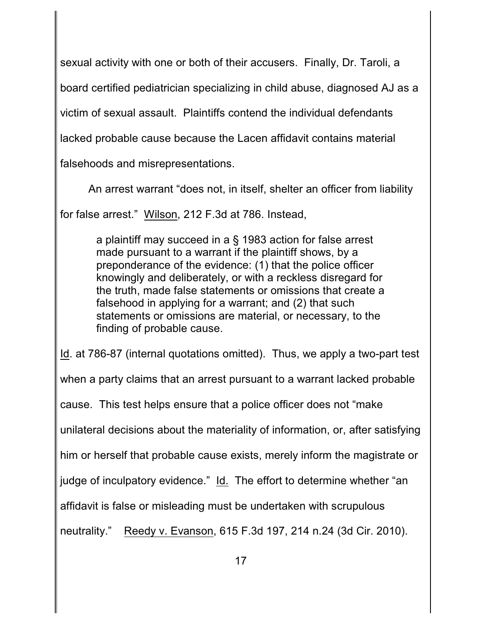sexual activity with one or both of their accusers. Finally, Dr. Taroli, a

board certified pediatrician specializing in child abuse, diagnosed AJ as a

victim of sexual assault. Plaintiffs contend the individual defendants

lacked probable cause because the Lacen affidavit contains material

falsehoods and misrepresentations.

An arrest warrant "does not, in itself, shelter an officer from liability

for false arrest." Wilson, 212 F.3d at 786. Instead,

a plaintiff may succeed in a § 1983 action for false arrest made pursuant to a warrant if the plaintiff shows, by a preponderance of the evidence: (1) that the police officer knowingly and deliberately, or with a reckless disregard for the truth, made false statements or omissions that create a falsehood in applying for a warrant; and (2) that such statements or omissions are material, or necessary, to the finding of probable cause.

Id. at 786-87 (internal quotations omitted). Thus, we apply a two-part test when a party claims that an arrest pursuant to a warrant lacked probable cause. This test helps ensure that a police officer does not "make unilateral decisions about the materiality of information, or, after satisfying him or herself that probable cause exists, merely inform the magistrate or judge of inculpatory evidence." Id. The effort to determine whether "an affidavit is false or misleading must be undertaken with scrupulous neutrality." Reedy v. Evanson, 615 F.3d 197, 214 n.24 (3d Cir. 2010).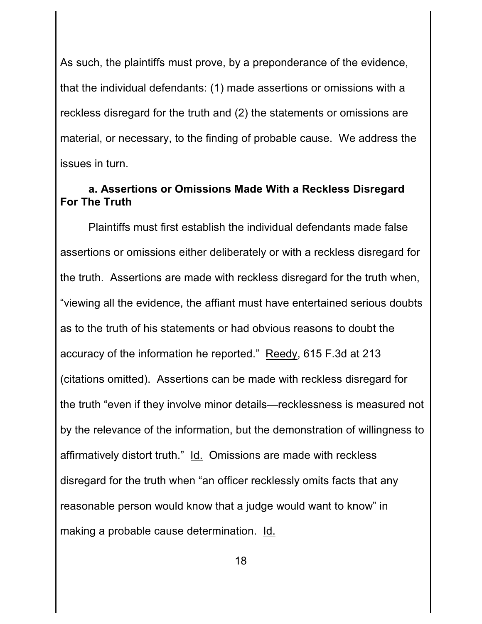As such, the plaintiffs must prove, by a preponderance of the evidence, that the individual defendants: (1) made assertions or omissions with a reckless disregard for the truth and (2) the statements or omissions are material, or necessary, to the finding of probable cause. We address the issues in turn.

## **a. Assertions or Omissions Made With a Reckless Disregard For The Truth**

Plaintiffs must first establish the individual defendants made false assertions or omissions either deliberately or with a reckless disregard for the truth. Assertions are made with reckless disregard for the truth when, "viewing all the evidence, the affiant must have entertained serious doubts as to the truth of his statements or had obvious reasons to doubt the accuracy of the information he reported." Reedy, 615 F.3d at 213 (citations omitted). Assertions can be made with reckless disregard for the truth "even if they involve minor details—recklessness is measured not by the relevance of the information, but the demonstration of willingness to affirmatively distort truth." Id. Omissions are made with reckless disregard for the truth when "an officer recklessly omits facts that any reasonable person would know that a judge would want to know" in making a probable cause determination. Id.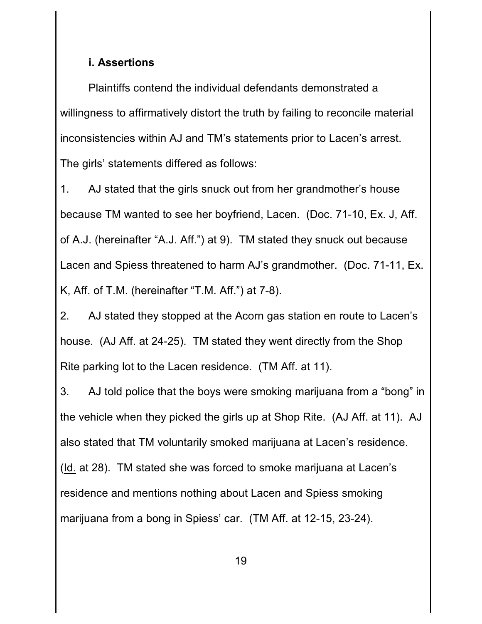#### **i. Assertions**

Plaintiffs contend the individual defendants demonstrated a willingness to affirmatively distort the truth by failing to reconcile material inconsistencies within AJ and TM's statements prior to Lacen's arrest. The girls' statements differed as follows:

1. AJ stated that the girls snuck out from her grandmother's house because TM wanted to see her boyfriend, Lacen. (Doc. 71-10, Ex. J, Aff. of A.J. (hereinafter "A.J. Aff.") at 9). TM stated they snuck out because Lacen and Spiess threatened to harm AJ's grandmother. (Doc. 71-11, Ex. K, Aff. of T.M. (hereinafter "T.M. Aff.") at 7-8).

2. AJ stated they stopped at the Acorn gas station en route to Lacen's house. (AJ Aff. at 24-25). TM stated they went directly from the Shop Rite parking lot to the Lacen residence. (TM Aff. at 11).

3. AJ told police that the boys were smoking marijuana from a "bong" in the vehicle when they picked the girls up at Shop Rite. (AJ Aff. at 11). AJ also stated that TM voluntarily smoked marijuana at Lacen's residence. (Id. at 28). TM stated she was forced to smoke marijuana at Lacen's residence and mentions nothing about Lacen and Spiess smoking marijuana from a bong in Spiess' car. (TM Aff. at 12-15, 23-24).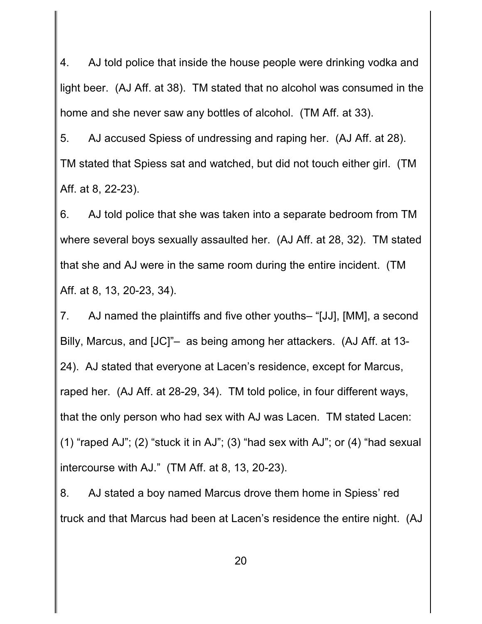4. AJ told police that inside the house people were drinking vodka and light beer. (AJ Aff. at 38). TM stated that no alcohol was consumed in the home and she never saw any bottles of alcohol. (TM Aff. at 33).

5. AJ accused Spiess of undressing and raping her. (AJ Aff. at 28). TM stated that Spiess sat and watched, but did not touch either girl. (TM Aff. at 8, 22-23).

6. AJ told police that she was taken into a separate bedroom from TM where several boys sexually assaulted her. (AJ Aff. at 28, 32). TM stated that she and AJ were in the same room during the entire incident. (TM Aff. at 8, 13, 20-23, 34).

7. AJ named the plaintiffs and five other youths– "[JJ], [MM], a second Billy, Marcus, and [JC]"– as being among her attackers. (AJ Aff. at 13- 24). AJ stated that everyone at Lacen's residence, except for Marcus, raped her. (AJ Aff. at 28-29, 34). TM told police, in four different ways, that the only person who had sex with AJ was Lacen. TM stated Lacen: (1) "raped AJ"; (2) "stuck it in AJ"; (3) "had sex with AJ"; or (4) "had sexual intercourse with AJ." (TM Aff. at 8, 13, 20-23).

8. AJ stated a boy named Marcus drove them home in Spiess' red truck and that Marcus had been at Lacen's residence the entire night. (AJ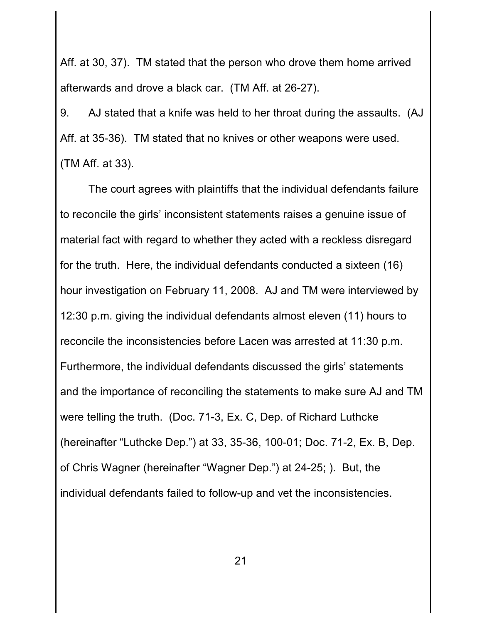Aff. at 30, 37). TM stated that the person who drove them home arrived afterwards and drove a black car. (TM Aff. at 26-27).

9. AJ stated that a knife was held to her throat during the assaults. (AJ Aff. at 35-36). TM stated that no knives or other weapons were used. (TM Aff. at 33).

The court agrees with plaintiffs that the individual defendants failure to reconcile the girls' inconsistent statements raises a genuine issue of material fact with regard to whether they acted with a reckless disregard for the truth. Here, the individual defendants conducted a sixteen (16) hour investigation on February 11, 2008. AJ and TM were interviewed by 12:30 p.m. giving the individual defendants almost eleven (11) hours to reconcile the inconsistencies before Lacen was arrested at 11:30 p.m. Furthermore, the individual defendants discussed the girls' statements and the importance of reconciling the statements to make sure AJ and TM were telling the truth. (Doc. 71-3, Ex. C, Dep. of Richard Luthcke (hereinafter "Luthcke Dep.") at 33, 35-36, 100-01; Doc. 71-2, Ex. B, Dep. of Chris Wagner (hereinafter "Wagner Dep.") at 24-25; ). But, the individual defendants failed to follow-up and vet the inconsistencies.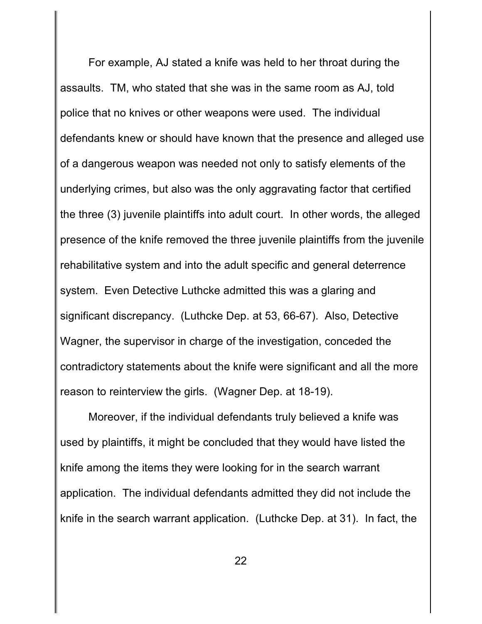For example, AJ stated a knife was held to her throat during the assaults. TM, who stated that she was in the same room as AJ, told police that no knives or other weapons were used. The individual defendants knew or should have known that the presence and alleged use of a dangerous weapon was needed not only to satisfy elements of the underlying crimes, but also was the only aggravating factor that certified the three (3) juvenile plaintiffs into adult court. In other words, the alleged presence of the knife removed the three juvenile plaintiffs from the juvenile rehabilitative system and into the adult specific and general deterrence system. Even Detective Luthcke admitted this was a glaring and significant discrepancy. (Luthcke Dep. at 53, 66-67). Also, Detective Wagner, the supervisor in charge of the investigation, conceded the contradictory statements about the knife were significant and all the more reason to reinterview the girls. (Wagner Dep. at 18-19).

Moreover, if the individual defendants truly believed a knife was used by plaintiffs, it might be concluded that they would have listed the knife among the items they were looking for in the search warrant application. The individual defendants admitted they did not include the knife in the search warrant application. (Luthcke Dep. at 31). In fact, the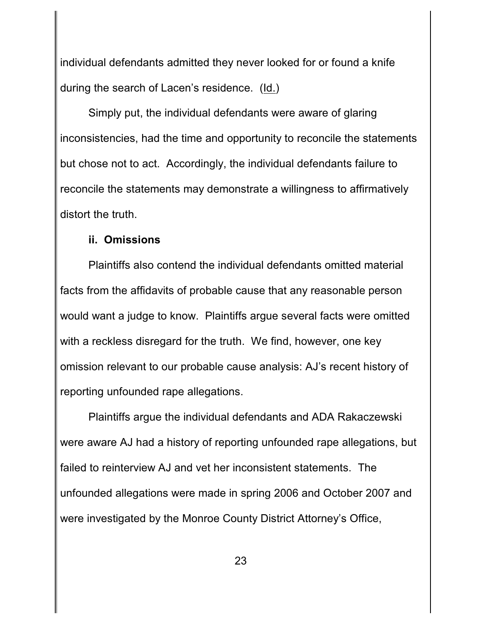individual defendants admitted they never looked for or found a knife during the search of Lacen's residence. (Id.)

Simply put, the individual defendants were aware of glaring inconsistencies, had the time and opportunity to reconcile the statements but chose not to act. Accordingly, the individual defendants failure to reconcile the statements may demonstrate a willingness to affirmatively distort the truth.

#### **ii. Omissions**

Plaintiffs also contend the individual defendants omitted material facts from the affidavits of probable cause that any reasonable person would want a judge to know. Plaintiffs argue several facts were omitted with a reckless disregard for the truth. We find, however, one key omission relevant to our probable cause analysis: AJ's recent history of reporting unfounded rape allegations.

Plaintiffs argue the individual defendants and ADA Rakaczewski were aware AJ had a history of reporting unfounded rape allegations, but failed to reinterview AJ and vet her inconsistent statements. The unfounded allegations were made in spring 2006 and October 2007 and were investigated by the Monroe County District Attorney's Office,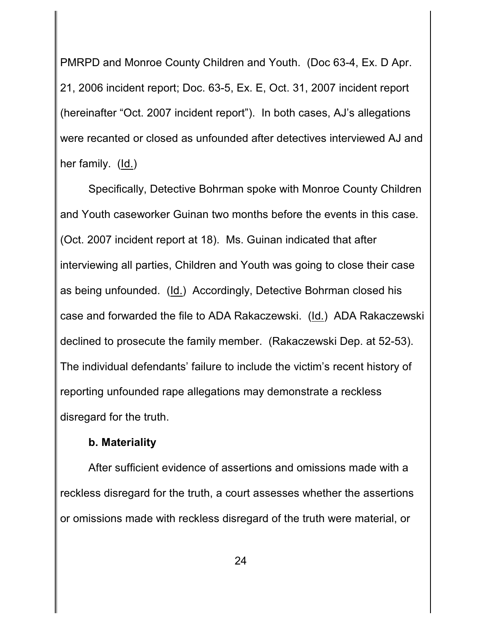PMRPD and Monroe County Children and Youth. (Doc 63-4, Ex. D Apr. 21, 2006 incident report; Doc. 63-5, Ex. E, Oct. 31, 2007 incident report (hereinafter "Oct. 2007 incident report"). In both cases, AJ's allegations were recanted or closed as unfounded after detectives interviewed AJ and her family. (Id.)

Specifically, Detective Bohrman spoke with Monroe County Children and Youth caseworker Guinan two months before the events in this case. (Oct. 2007 incident report at 18). Ms. Guinan indicated that after interviewing all parties, Children and Youth was going to close their case as being unfounded. (Id.) Accordingly, Detective Bohrman closed his case and forwarded the file to ADA Rakaczewski. (Id.) ADA Rakaczewski declined to prosecute the family member. (Rakaczewski Dep. at 52-53). The individual defendants' failure to include the victim's recent history of reporting unfounded rape allegations may demonstrate a reckless disregard for the truth.

#### **b. Materiality**

After sufficient evidence of assertions and omissions made with a reckless disregard for the truth, a court assesses whether the assertions or omissions made with reckless disregard of the truth were material, or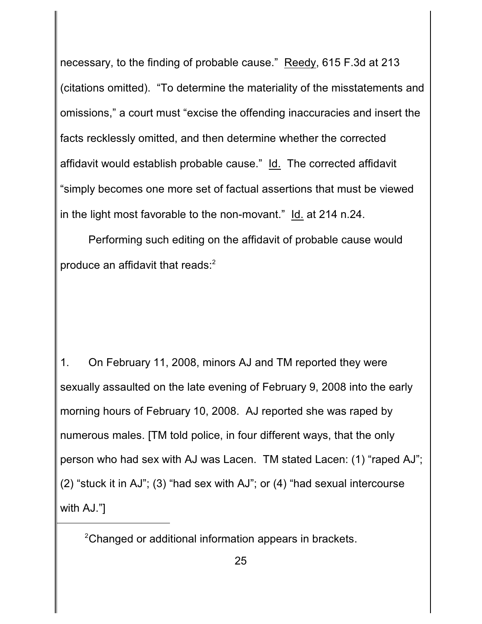necessary, to the finding of probable cause." Reedy, 615 F.3d at 213 (citations omitted). "To determine the materiality of the misstatements and omissions," a court must "excise the offending inaccuracies and insert the facts recklessly omitted, and then determine whether the corrected affidavit would establish probable cause." Id. The corrected affidavit "simply becomes one more set of factual assertions that must be viewed in the light most favorable to the non-movant." Id. at 214 n.24.

Performing such editing on the affidavit of probable cause would produce an affidavit that reads:<sup>2</sup>

1. On February 11, 2008, minors AJ and TM reported they were sexually assaulted on the late evening of February 9, 2008 into the early morning hours of February 10, 2008. AJ reported she was raped by numerous males. [TM told police, in four different ways, that the only person who had sex with AJ was Lacen. TM stated Lacen: (1) "raped AJ"; (2) "stuck it in AJ"; (3) "had sex with AJ"; or (4) "had sexual intercourse with AJ."]

 $2$ Changed or additional information appears in brackets.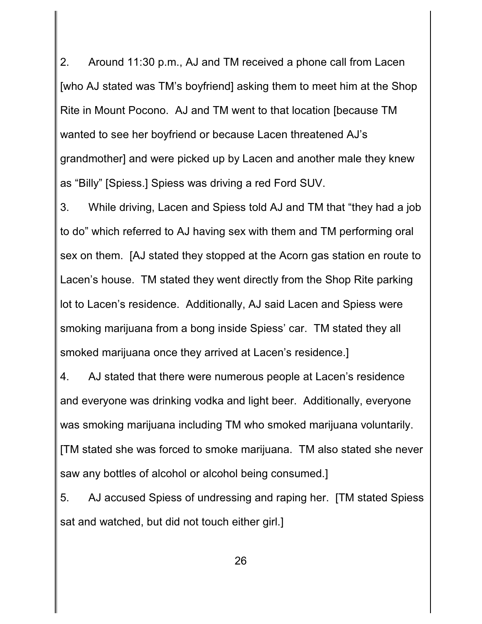2. Around 11:30 p.m., AJ and TM received a phone call from Lacen [who AJ stated was TM's boyfriend] asking them to meet him at the Shop Rite in Mount Pocono. AJ and TM went to that location [because TM wanted to see her boyfriend or because Lacen threatened AJ's grandmother] and were picked up by Lacen and another male they knew as "Billy" [Spiess.] Spiess was driving a red Ford SUV.

3. While driving, Lacen and Spiess told AJ and TM that "they had a job to do" which referred to AJ having sex with them and TM performing oral sex on them. [AJ stated they stopped at the Acorn gas station en route to Lacen's house. TM stated they went directly from the Shop Rite parking lot to Lacen's residence. Additionally, AJ said Lacen and Spiess were smoking marijuana from a bong inside Spiess' car. TM stated they all smoked marijuana once they arrived at Lacen's residence.]

4. AJ stated that there were numerous people at Lacen's residence and everyone was drinking vodka and light beer. Additionally, everyone was smoking marijuana including TM who smoked marijuana voluntarily. [TM stated she was forced to smoke marijuana. TM also stated she never saw any bottles of alcohol or alcohol being consumed.]

5. AJ accused Spiess of undressing and raping her. [TM stated Spiess sat and watched, but did not touch either girl.]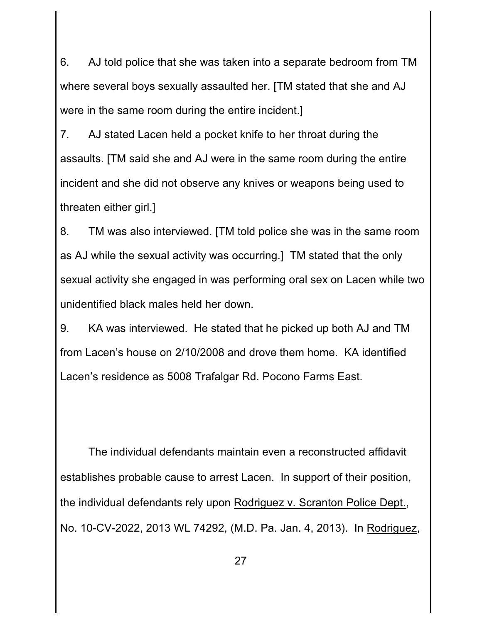6. AJ told police that she was taken into a separate bedroom from TM where several boys sexually assaulted her. [TM stated that she and AJ were in the same room during the entire incident.]

7. AJ stated Lacen held a pocket knife to her throat during the assaults. [TM said she and AJ were in the same room during the entire incident and she did not observe any knives or weapons being used to threaten either girl.]

8. TM was also interviewed. [TM told police she was in the same room as AJ while the sexual activity was occurring.] TM stated that the only sexual activity she engaged in was performing oral sex on Lacen while two unidentified black males held her down.

9. KA was interviewed. He stated that he picked up both AJ and TM from Lacen's house on 2/10/2008 and drove them home. KA identified Lacen's residence as 5008 Trafalgar Rd. Pocono Farms East.

The individual defendants maintain even a reconstructed affidavit establishes probable cause to arrest Lacen. In support of their position, the individual defendants rely upon Rodriguez v. Scranton Police Dept., No. 10-CV-2022, 2013 WL 74292, (M.D. Pa. Jan. 4, 2013). In Rodriguez,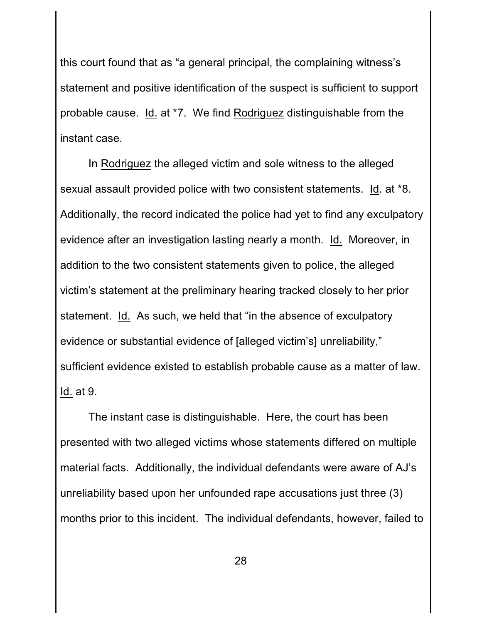this court found that as "a general principal, the complaining witness's statement and positive identification of the suspect is sufficient to support probable cause. Id. at \*7. We find Rodriguez distinguishable from the instant case.

In Rodriguez the alleged victim and sole witness to the alleged sexual assault provided police with two consistent statements. Id. at \*8. Additionally, the record indicated the police had yet to find any exculpatory evidence after an investigation lasting nearly a month. Id. Moreover, in addition to the two consistent statements given to police, the alleged victim's statement at the preliminary hearing tracked closely to her prior statement. Id. As such, we held that "in the absence of exculpatory evidence or substantial evidence of [alleged victim's] unreliability," sufficient evidence existed to establish probable cause as a matter of law. Id. at 9.

The instant case is distinguishable. Here, the court has been presented with two alleged victims whose statements differed on multiple material facts. Additionally, the individual defendants were aware of AJ's unreliability based upon her unfounded rape accusations just three (3) months prior to this incident. The individual defendants, however, failed to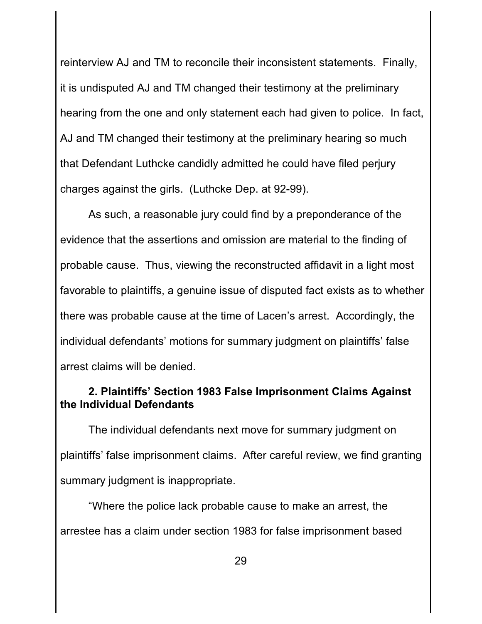reinterview AJ and TM to reconcile their inconsistent statements. Finally, it is undisputed AJ and TM changed their testimony at the preliminary hearing from the one and only statement each had given to police. In fact, AJ and TM changed their testimony at the preliminary hearing so much that Defendant Luthcke candidly admitted he could have filed perjury charges against the girls. (Luthcke Dep. at 92-99).

As such, a reasonable jury could find by a preponderance of the evidence that the assertions and omission are material to the finding of probable cause. Thus, viewing the reconstructed affidavit in a light most favorable to plaintiffs, a genuine issue of disputed fact exists as to whether there was probable cause at the time of Lacen's arrest. Accordingly, the individual defendants' motions for summary judgment on plaintiffs' false arrest claims will be denied.

# **2. Plaintiffs' Section 1983 False Imprisonment Claims Against the Individual Defendants**

The individual defendants next move for summary judgment on plaintiffs' false imprisonment claims. After careful review, we find granting summary judgment is inappropriate.

"Where the police lack probable cause to make an arrest, the arrestee has a claim under section 1983 for false imprisonment based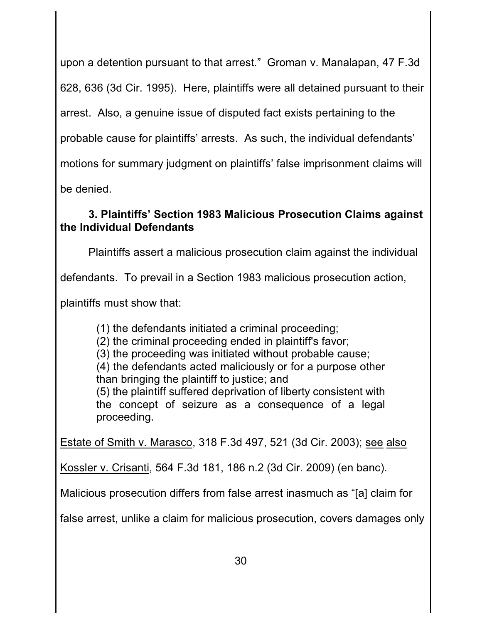upon a detention pursuant to that arrest." Groman v. Manalapan, 47 F.3d

628, 636 (3d Cir. 1995). Here, plaintiffs were all detained pursuant to their

arrest. Also, a genuine issue of disputed fact exists pertaining to the

probable cause for plaintiffs' arrests. As such, the individual defendants'

motions for summary judgment on plaintiffs' false imprisonment claims will

be denied.

# **3. Plaintiffs' Section 1983 Malicious Prosecution Claims against the Individual Defendants**

Plaintiffs assert a malicious prosecution claim against the individual

defendants. To prevail in a Section 1983 malicious prosecution action,

plaintiffs must show that:

(1) the defendants initiated a criminal proceeding;

(2) the criminal proceeding ended in plaintiff's favor;

(3) the proceeding was initiated without probable cause;

(4) the defendants acted maliciously or for a purpose other than bringing the plaintiff to justice; and

(5) the plaintiff suffered deprivation of liberty consistent with the concept of seizure as a consequence of a legal proceeding.

Estate of Smith v. Marasco, 318 F.3d 497, 521 (3d Cir. 2003); see also

Kossler v. Crisanti, 564 F.3d 181, 186 n.2 (3d Cir. 2009) (en banc).

Malicious prosecution differs from false arrest inasmuch as "[a] claim for

false arrest, unlike a claim for malicious prosecution, covers damages only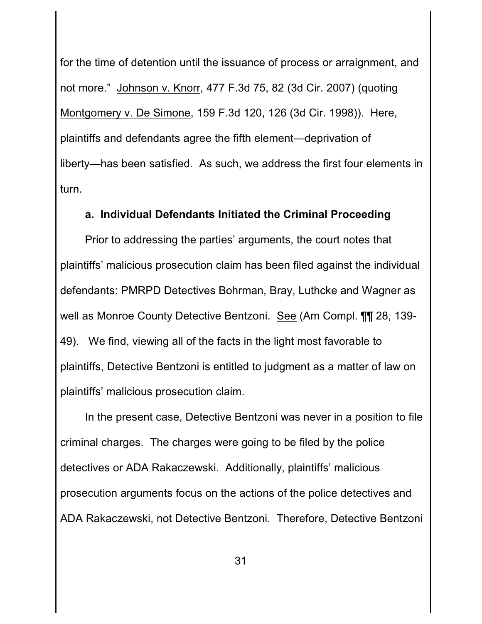for the time of detention until the issuance of process or arraignment, and not more." Johnson v. Knorr, 477 F.3d 75, 82 (3d Cir. 2007) (quoting Montgomery v. De Simone, 159 F.3d 120, 126 (3d Cir. 1998)). Here, plaintiffs and defendants agree the fifth element—deprivation of liberty—has been satisfied. As such, we address the first four elements in turn.

#### **a. Individual Defendants Initiated the Criminal Proceeding**

Prior to addressing the parties' arguments, the court notes that plaintiffs' malicious prosecution claim has been filed against the individual defendants: PMRPD Detectives Bohrman, Bray, Luthcke and Wagner as well as Monroe County Detective Bentzoni. See (Am Compl. ¶¶ 28, 139- 49). We find, viewing all of the facts in the light most favorable to plaintiffs, Detective Bentzoni is entitled to judgment as a matter of law on plaintiffs' malicious prosecution claim.

In the present case, Detective Bentzoni was never in a position to file criminal charges. The charges were going to be filed by the police detectives or ADA Rakaczewski. Additionally, plaintiffs' malicious prosecution arguments focus on the actions of the police detectives and ADA Rakaczewski, not Detective Bentzoni. Therefore, Detective Bentzoni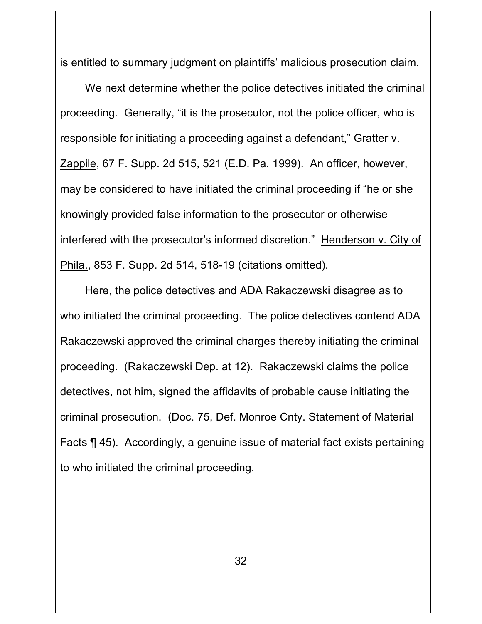is entitled to summary judgment on plaintiffs' malicious prosecution claim.

We next determine whether the police detectives initiated the criminal proceeding. Generally, "it is the prosecutor, not the police officer, who is responsible for initiating a proceeding against a defendant," Gratter v. Zappile, 67 F. Supp. 2d 515, 521 (E.D. Pa. 1999). An officer, however, may be considered to have initiated the criminal proceeding if "he or she knowingly provided false information to the prosecutor or otherwise interfered with the prosecutor's informed discretion." Henderson v. City of Phila., 853 F. Supp. 2d 514, 518-19 (citations omitted).

Here, the police detectives and ADA Rakaczewski disagree as to who initiated the criminal proceeding. The police detectives contend ADA Rakaczewski approved the criminal charges thereby initiating the criminal proceeding. (Rakaczewski Dep. at 12). Rakaczewski claims the police detectives, not him, signed the affidavits of probable cause initiating the criminal prosecution. (Doc. 75, Def. Monroe Cnty. Statement of Material Facts ¶ 45). Accordingly, a genuine issue of material fact exists pertaining to who initiated the criminal proceeding.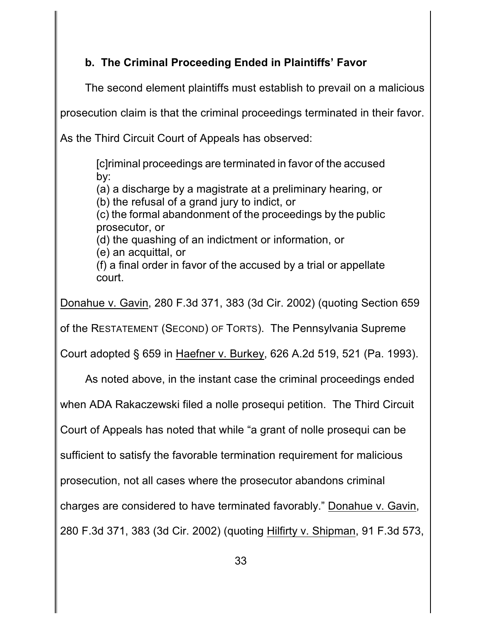# **b. The Criminal Proceeding Ended in Plaintiffs' Favor**

The second element plaintiffs must establish to prevail on a malicious

prosecution claim is that the criminal proceedings terminated in their favor.

As the Third Circuit Court of Appeals has observed:

[c]riminal proceedings are terminated in favor of the accused by:

(a) a discharge by a magistrate at a preliminary hearing, or (b) the refusal of a grand jury to indict, or

(c) the formal abandonment of the proceedings by the public

prosecutor, or

(d) the quashing of an indictment or information, or

(e) an acquittal, or

(f) a final order in favor of the accused by a trial or appellate court.

Donahue v. Gavin, 280 F.3d 371, 383 (3d Cir. 2002) (quoting Section 659

of the RESTATEMENT (SECOND) OF TORTS). The Pennsylvania Supreme

Court adopted § 659 in Haefner v. Burkey, 626 A.2d 519, 521 (Pa. 1993).

As noted above, in the instant case the criminal proceedings ended

when ADA Rakaczewski filed a nolle prosequi petition. The Third Circuit

Court of Appeals has noted that while "a grant of nolle prosequi can be

sufficient to satisfy the favorable termination requirement for malicious

prosecution, not all cases where the prosecutor abandons criminal

charges are considered to have terminated favorably." Donahue v. Gavin,

280 F.3d 371, 383 (3d Cir. 2002) (quoting Hilfirty v. Shipman, 91 F.3d 573,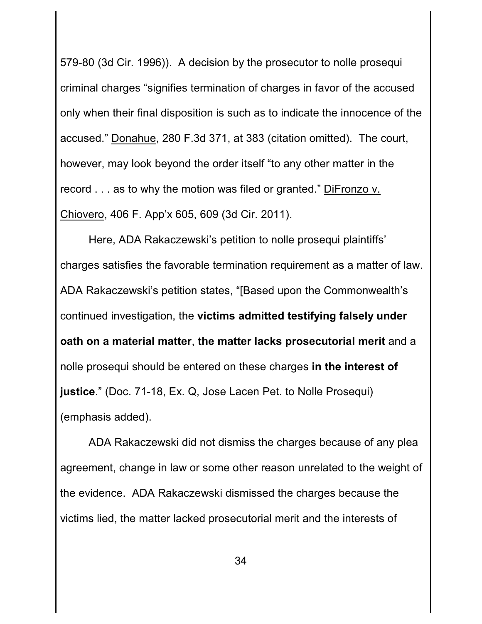579-80 (3d Cir. 1996)). A decision by the prosecutor to nolle prosequi criminal charges "signifies termination of charges in favor of the accused only when their final disposition is such as to indicate the innocence of the accused." Donahue, 280 F.3d 371, at 383 (citation omitted). The court, however, may look beyond the order itself "to any other matter in the record . . . as to why the motion was filed or granted." DiFronzo v. Chiovero, 406 F. App'x 605, 609 (3d Cir. 2011).

Here, ADA Rakaczewski's petition to nolle prosequi plaintiffs' charges satisfies the favorable termination requirement as a matter of law. ADA Rakaczewski's petition states, "[Based upon the Commonwealth's continued investigation, the **victims admitted testifying falsely under oath on a material matter**, **the matter lacks prosecutorial merit** and a nolle prosequi should be entered on these charges **in the interest of justice**." (Doc. 71-18, Ex. Q, Jose Lacen Pet. to Nolle Prosequi) (emphasis added).

ADA Rakaczewski did not dismiss the charges because of any plea agreement, change in law or some other reason unrelated to the weight of the evidence. ADA Rakaczewski dismissed the charges because the victims lied, the matter lacked prosecutorial merit and the interests of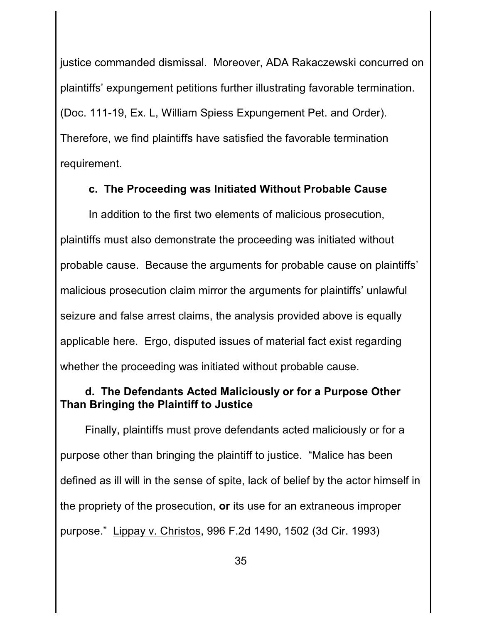justice commanded dismissal. Moreover, ADA Rakaczewski concurred on plaintiffs' expungement petitions further illustrating favorable termination. (Doc. 111-19, Ex. L, William Spiess Expungement Pet. and Order). Therefore, we find plaintiffs have satisfied the favorable termination requirement.

### **c. The Proceeding was Initiated Without Probable Cause**

In addition to the first two elements of malicious prosecution, plaintiffs must also demonstrate the proceeding was initiated without probable cause. Because the arguments for probable cause on plaintiffs' malicious prosecution claim mirror the arguments for plaintiffs' unlawful seizure and false arrest claims, the analysis provided above is equally applicable here. Ergo, disputed issues of material fact exist regarding whether the proceeding was initiated without probable cause.

## **d. The Defendants Acted Maliciously or for a Purpose Other Than Bringing the Plaintiff to Justice**

Finally, plaintiffs must prove defendants acted maliciously or for a purpose other than bringing the plaintiff to justice. "Malice has been defined as ill will in the sense of spite, lack of belief by the actor himself in the propriety of the prosecution, **or** its use for an extraneous improper purpose." Lippay v. Christos, 996 F.2d 1490, 1502 (3d Cir. 1993)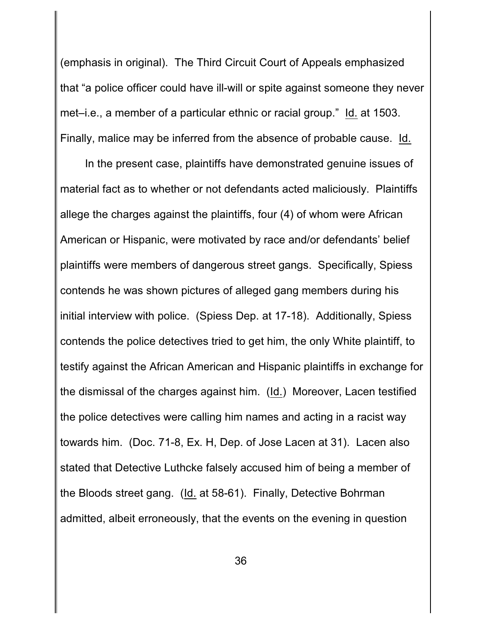(emphasis in original). The Third Circuit Court of Appeals emphasized that "a police officer could have ill-will or spite against someone they never met–i.e., a member of a particular ethnic or racial group." Id. at 1503. Finally, malice may be inferred from the absence of probable cause. Id.

In the present case, plaintiffs have demonstrated genuine issues of material fact as to whether or not defendants acted maliciously. Plaintiffs allege the charges against the plaintiffs, four (4) of whom were African American or Hispanic, were motivated by race and/or defendants' belief plaintiffs were members of dangerous street gangs. Specifically, Spiess contends he was shown pictures of alleged gang members during his initial interview with police. (Spiess Dep. at 17-18). Additionally, Spiess contends the police detectives tried to get him, the only White plaintiff, to testify against the African American and Hispanic plaintiffs in exchange for the dismissal of the charges against him. (Id.) Moreover, Lacen testified the police detectives were calling him names and acting in a racist way towards him. (Doc. 71-8, Ex. H, Dep. of Jose Lacen at 31). Lacen also stated that Detective Luthcke falsely accused him of being a member of the Bloods street gang. (Id. at 58-61). Finally, Detective Bohrman admitted, albeit erroneously, that the events on the evening in question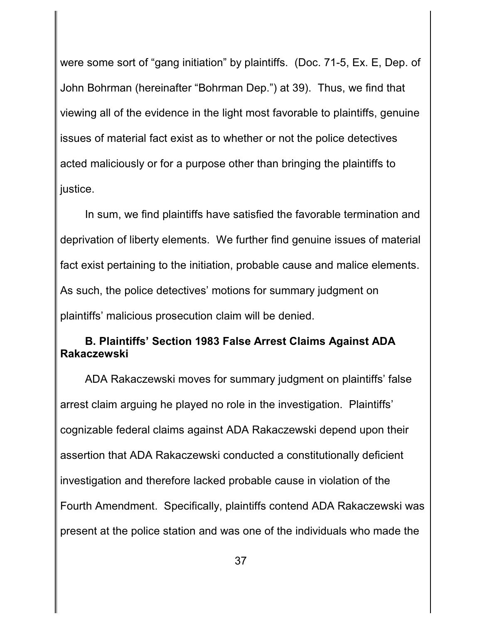were some sort of "gang initiation" by plaintiffs. (Doc. 71-5, Ex. E, Dep. of John Bohrman (hereinafter "Bohrman Dep.") at 39). Thus, we find that viewing all of the evidence in the light most favorable to plaintiffs, genuine issues of material fact exist as to whether or not the police detectives acted maliciously or for a purpose other than bringing the plaintiffs to justice.

In sum, we find plaintiffs have satisfied the favorable termination and deprivation of liberty elements. We further find genuine issues of material fact exist pertaining to the initiation, probable cause and malice elements. As such, the police detectives' motions for summary judgment on plaintiffs' malicious prosecution claim will be denied.

## **B. Plaintiffs' Section 1983 False Arrest Claims Against ADA Rakaczewski**

ADA Rakaczewski moves for summary judgment on plaintiffs' false arrest claim arguing he played no role in the investigation. Plaintiffs' cognizable federal claims against ADA Rakaczewski depend upon their assertion that ADA Rakaczewski conducted a constitutionally deficient investigation and therefore lacked probable cause in violation of the Fourth Amendment. Specifically, plaintiffs contend ADA Rakaczewski was present at the police station and was one of the individuals who made the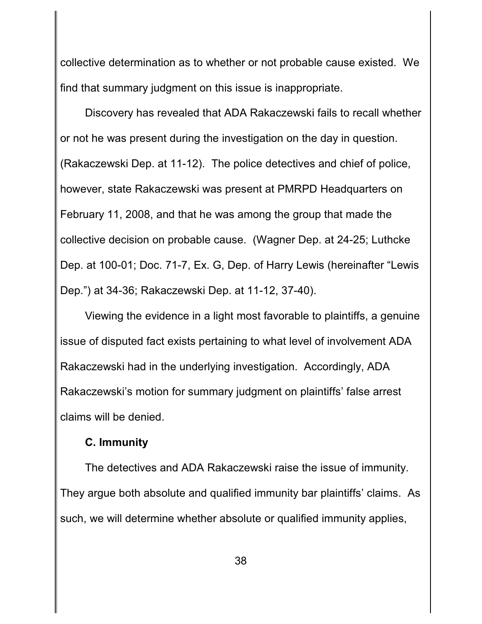collective determination as to whether or not probable cause existed. We find that summary judgment on this issue is inappropriate.

Discovery has revealed that ADA Rakaczewski fails to recall whether or not he was present during the investigation on the day in question. (Rakaczewski Dep. at 11-12). The police detectives and chief of police, however, state Rakaczewski was present at PMRPD Headquarters on February 11, 2008, and that he was among the group that made the collective decision on probable cause. (Wagner Dep. at 24-25; Luthcke Dep. at 100-01; Doc. 71-7, Ex. G, Dep. of Harry Lewis (hereinafter "Lewis Dep.") at 34-36; Rakaczewski Dep. at 11-12, 37-40).

Viewing the evidence in a light most favorable to plaintiffs, a genuine issue of disputed fact exists pertaining to what level of involvement ADA Rakaczewski had in the underlying investigation. Accordingly, ADA Rakaczewski's motion for summary judgment on plaintiffs' false arrest claims will be denied.

#### **C. Immunity**

The detectives and ADA Rakaczewski raise the issue of immunity. They argue both absolute and qualified immunity bar plaintiffs' claims. As such, we will determine whether absolute or qualified immunity applies,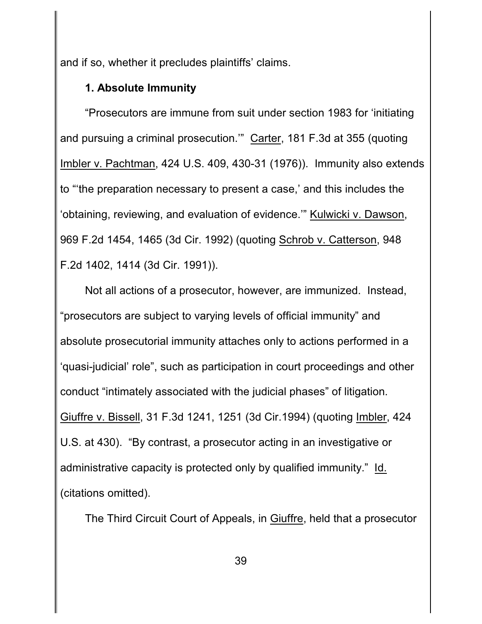and if so, whether it precludes plaintiffs' claims.

# **1. Absolute Immunity**

"Prosecutors are immune from suit under section 1983 for 'initiating and pursuing a criminal prosecution.'" Carter, 181 F.3d at 355 (quoting Imbler v. Pachtman, 424 U.S. 409, 430-31 (1976)). Immunity also extends to "'the preparation necessary to present a case,' and this includes the 'obtaining, reviewing, and evaluation of evidence.'" Kulwicki v. Dawson, 969 F.2d 1454, 1465 (3d Cir. 1992) (quoting Schrob v. Catterson, 948 F.2d 1402, 1414 (3d Cir. 1991)).

Not all actions of a prosecutor, however, are immunized. Instead, "prosecutors are subject to varying levels of official immunity" and absolute prosecutorial immunity attaches only to actions performed in a 'quasi-judicial' role", such as participation in court proceedings and other conduct "intimately associated with the judicial phases" of litigation. Giuffre v. Bissell, 31 F.3d 1241, 1251 (3d Cir.1994) (quoting Imbler, 424 U.S. at 430). "By contrast, a prosecutor acting in an investigative or administrative capacity is protected only by qualified immunity." Id. (citations omitted).

The Third Circuit Court of Appeals, in Giuffre, held that a prosecutor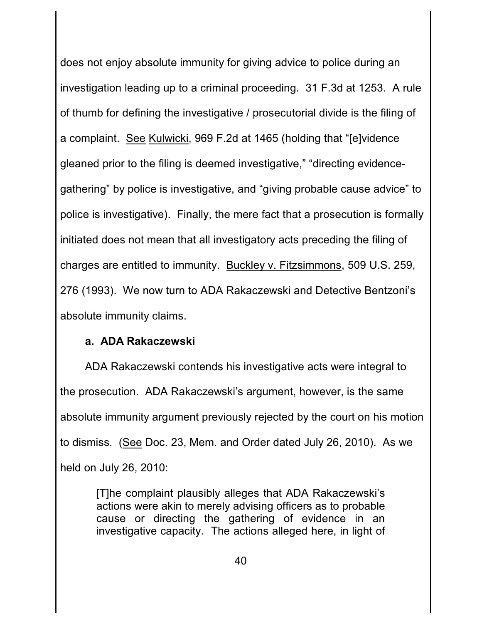does not enjoy absolute immunity for giving advice to police during an investigation leading up to a criminal proceeding. 31 F.3d at 1253. A rule of thumb for defining the investigative / prosecutorial divide is the filing of a complaint. See Kulwicki, 969 F.2d at 1465 (holding that "[e]vidence gleaned prior to the filing is deemed investigative," "directing evidencegathering" by police is investigative, and "giving probable cause advice" to police is investigative). Finally, the mere fact that a prosecution is formally initiated does not mean that all investigatory acts preceding the filing of charges are entitled to immunity. Buckley v. Fitzsimmons, 509 U.S. 259, 276 (1993). We now turn to ADA Rakaczewski and Detective Bentzoni's absolute immunity claims.

## **a. ADA Rakaczewski**

ADA Rakaczewski contends his investigative acts were integral to the prosecution. ADA Rakaczewski's argument, however, is the same absolute immunity argument previously rejected by the court on his motion to dismiss. (See Doc. 23, Mem. and Order dated July 26, 2010). As we held on July 26, 2010:

[T]he complaint plausibly alleges that ADA Rakaczewski's actions were akin to merely advising officers as to probable cause or directing the gathering of evidence in an investigative capacity. The actions alleged here, in light of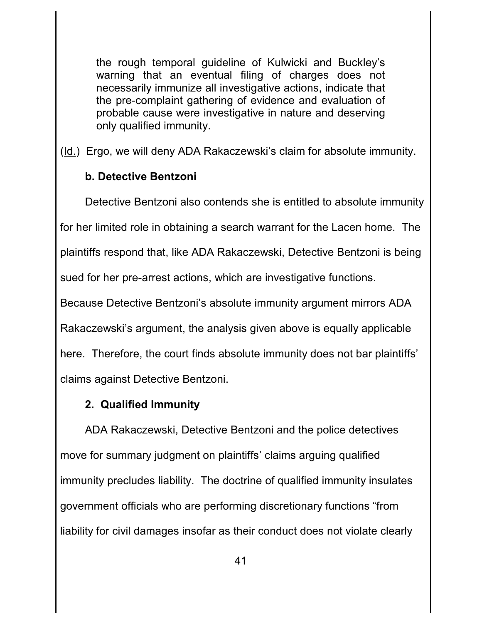the rough temporal guideline of Kulwicki and Buckley's warning that an eventual filing of charges does not necessarily immunize all investigative actions, indicate that the pre-complaint gathering of evidence and evaluation of probable cause were investigative in nature and deserving only qualified immunity.

(Id.) Ergo, we will deny ADA Rakaczewski's claim for absolute immunity.

# **b. Detective Bentzoni**

Detective Bentzoni also contends she is entitled to absolute immunity for her limited role in obtaining a search warrant for the Lacen home. The plaintiffs respond that, like ADA Rakaczewski, Detective Bentzoni is being sued for her pre-arrest actions, which are investigative functions. Because Detective Bentzoni's absolute immunity argument mirrors ADA Rakaczewski's argument, the analysis given above is equally applicable

here. Therefore, the court finds absolute immunity does not bar plaintiffs' claims against Detective Bentzoni.

# **2. Qualified Immunity**

ADA Rakaczewski, Detective Bentzoni and the police detectives move for summary judgment on plaintiffs' claims arguing qualified immunity precludes liability. The doctrine of qualified immunity insulates government officials who are performing discretionary functions "from liability for civil damages insofar as their conduct does not violate clearly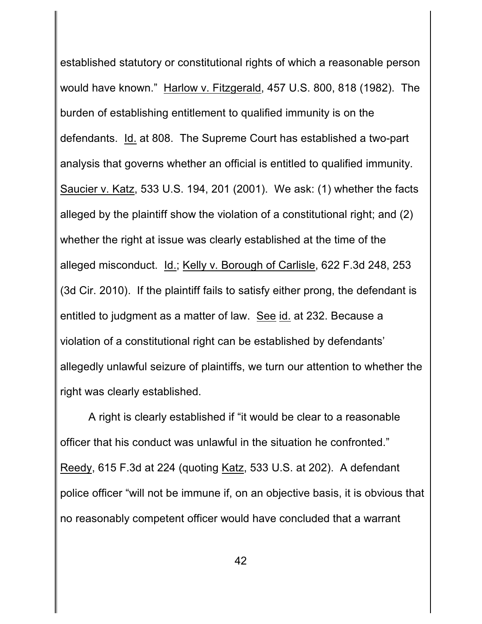established statutory or constitutional rights of which a reasonable person would have known." Harlow v. Fitzgerald, 457 U.S. 800, 818 (1982). The burden of establishing entitlement to qualified immunity is on the defendants. Id. at 808. The Supreme Court has established a two-part analysis that governs whether an official is entitled to qualified immunity. Saucier v. Katz, 533 U.S. 194, 201 (2001). We ask: (1) whether the facts alleged by the plaintiff show the violation of a constitutional right; and (2) whether the right at issue was clearly established at the time of the alleged misconduct. Id.; Kelly v. Borough of Carlisle, 622 F.3d 248, 253 (3d Cir. 2010). If the plaintiff fails to satisfy either prong, the defendant is entitled to judgment as a matter of law. See id. at 232. Because a violation of a constitutional right can be established by defendants' allegedly unlawful seizure of plaintiffs, we turn our attention to whether the right was clearly established.

A right is clearly established if "it would be clear to a reasonable officer that his conduct was unlawful in the situation he confronted." Reedy, 615 F.3d at 224 (quoting Katz, 533 U.S. at 202). A defendant police officer "will not be immune if, on an objective basis, it is obvious that no reasonably competent officer would have concluded that a warrant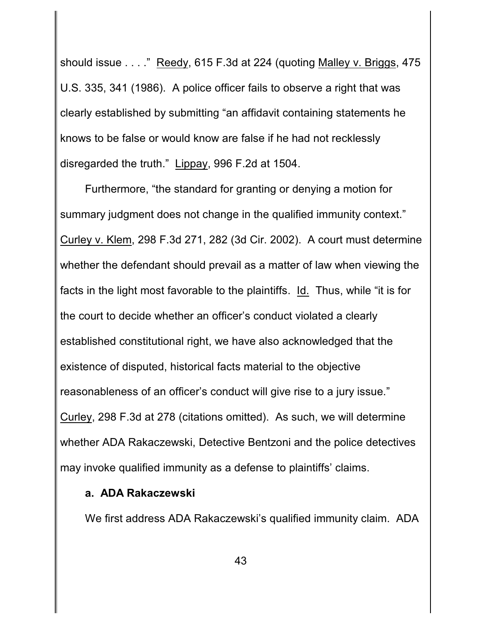should issue . . . ." Reedy, 615 F.3d at 224 (quoting Malley v. Briggs, 475 U.S. 335, 341 (1986). A police officer fails to observe a right that was clearly established by submitting "an affidavit containing statements he knows to be false or would know are false if he had not recklessly disregarded the truth." Lippay, 996 F.2d at 1504.

Furthermore, "the standard for granting or denying a motion for summary judgment does not change in the qualified immunity context." Curley v. Klem, 298 F.3d 271, 282 (3d Cir. 2002). A court must determine whether the defendant should prevail as a matter of law when viewing the facts in the light most favorable to the plaintiffs. Id. Thus, while "it is for the court to decide whether an officer's conduct violated a clearly established constitutional right, we have also acknowledged that the existence of disputed, historical facts material to the objective reasonableness of an officer's conduct will give rise to a jury issue." Curley, 298 F.3d at 278 (citations omitted). As such, we will determine whether ADA Rakaczewski, Detective Bentzoni and the police detectives may invoke qualified immunity as a defense to plaintiffs' claims.

#### **a. ADA Rakaczewski**

We first address ADA Rakaczewski's qualified immunity claim. ADA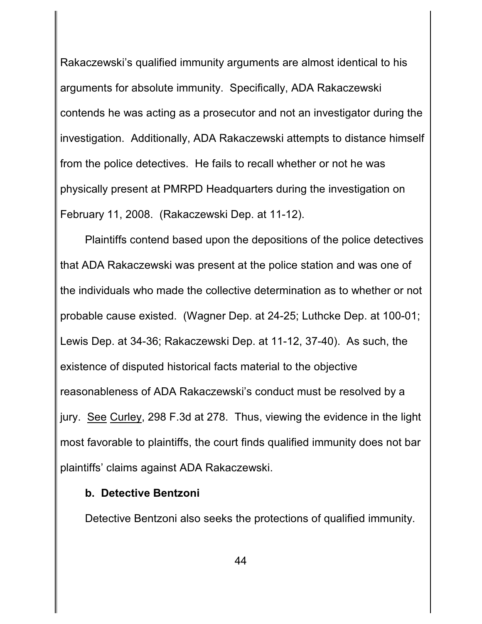Rakaczewski's qualified immunity arguments are almost identical to his arguments for absolute immunity. Specifically, ADA Rakaczewski contends he was acting as a prosecutor and not an investigator during the investigation. Additionally, ADA Rakaczewski attempts to distance himself from the police detectives. He fails to recall whether or not he was physically present at PMRPD Headquarters during the investigation on February 11, 2008. (Rakaczewski Dep. at 11-12).

Plaintiffs contend based upon the depositions of the police detectives that ADA Rakaczewski was present at the police station and was one of the individuals who made the collective determination as to whether or not probable cause existed. (Wagner Dep. at 24-25; Luthcke Dep. at 100-01; Lewis Dep. at 34-36; Rakaczewski Dep. at 11-12, 37-40). As such, the existence of disputed historical facts material to the objective reasonableness of ADA Rakaczewski's conduct must be resolved by a jury. See Curley, 298 F.3d at 278. Thus, viewing the evidence in the light most favorable to plaintiffs, the court finds qualified immunity does not bar plaintiffs' claims against ADA Rakaczewski.

## **b. Detective Bentzoni**

Detective Bentzoni also seeks the protections of qualified immunity.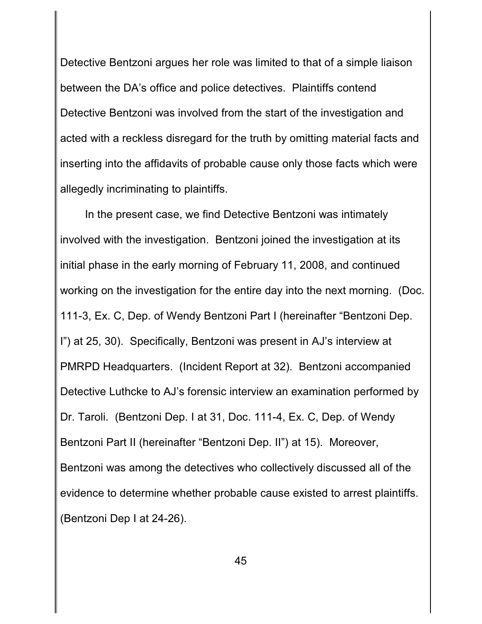Detective Bentzoni argues her role was limited to that of a simple liaison between the DA's office and police detectives. Plaintiffs contend Detective Bentzoni was involved from the start of the investigation and acted with a reckless disregard for the truth by omitting material facts and inserting into the affidavits of probable cause only those facts which were allegedly incriminating to plaintiffs.

In the present case, we find Detective Bentzoni was intimately involved with the investigation. Bentzoni joined the investigation at its initial phase in the early morning of February 11, 2008, and continued working on the investigation for the entire day into the next morning. (Doc. 111-3, Ex. C, Dep. of Wendy Bentzoni Part I (hereinafter "Bentzoni Dep. I") at 25, 30). Specifically, Bentzoni was present in AJ's interview at PMRPD Headquarters. (Incident Report at 32). Bentzoni accompanied Detective Luthcke to AJ's forensic interview an examination performed by Dr. Taroli. (Bentzoni Dep. I at 31, Doc. 111-4, Ex. C, Dep. of Wendy Bentzoni Part II (hereinafter "Bentzoni Dep. II") at 15). Moreover, Bentzoni was among the detectives who collectively discussed all of the evidence to determine whether probable cause existed to arrest plaintiffs. (Bentzoni Dep I at 24-26).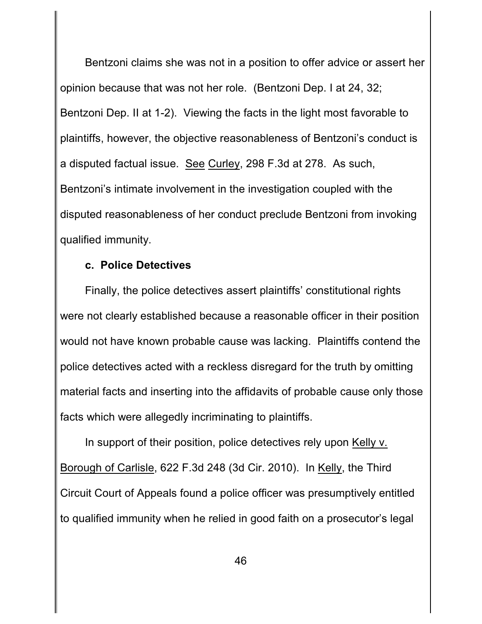Bentzoni claims she was not in a position to offer advice or assert her opinion because that was not her role. (Bentzoni Dep. I at 24, 32; Bentzoni Dep. II at 1-2). Viewing the facts in the light most favorable to plaintiffs, however, the objective reasonableness of Bentzoni's conduct is a disputed factual issue. See Curley, 298 F.3d at 278. As such, Bentzoni's intimate involvement in the investigation coupled with the disputed reasonableness of her conduct preclude Bentzoni from invoking qualified immunity.

### **c. Police Detectives**

Finally, the police detectives assert plaintiffs' constitutional rights were not clearly established because a reasonable officer in their position would not have known probable cause was lacking. Plaintiffs contend the police detectives acted with a reckless disregard for the truth by omitting material facts and inserting into the affidavits of probable cause only those facts which were allegedly incriminating to plaintiffs.

In support of their position, police detectives rely upon Kelly v. Borough of Carlisle, 622 F.3d 248 (3d Cir. 2010). In Kelly, the Third Circuit Court of Appeals found a police officer was presumptively entitled to qualified immunity when he relied in good faith on a prosecutor's legal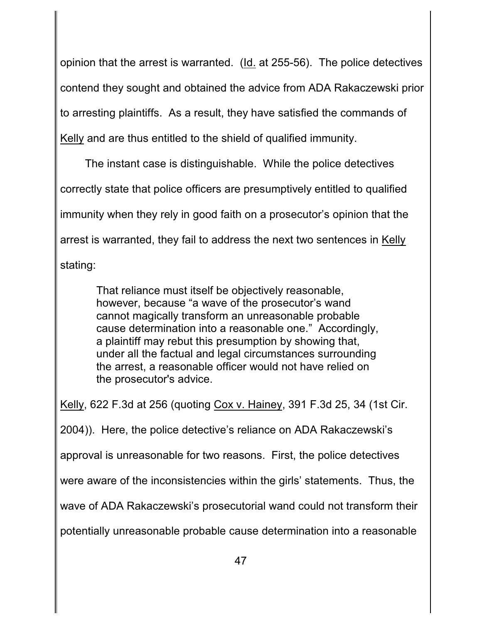opinion that the arrest is warranted. (Id. at 255-56). The police detectives contend they sought and obtained the advice from ADA Rakaczewski prior to arresting plaintiffs. As a result, they have satisfied the commands of Kelly and are thus entitled to the shield of qualified immunity.

The instant case is distinguishable. While the police detectives correctly state that police officers are presumptively entitled to qualified immunity when they rely in good faith on a prosecutor's opinion that the arrest is warranted, they fail to address the next two sentences in Kelly stating:

> That reliance must itself be objectively reasonable, however, because "a wave of the prosecutor's wand cannot magically transform an unreasonable probable cause determination into a reasonable one." Accordingly, a plaintiff may rebut this presumption by showing that, under all the factual and legal circumstances surrounding the arrest, a reasonable officer would not have relied on the prosecutor's advice.

Kelly, 622 F.3d at 256 (quoting Cox v. Hainey, 391 F.3d 25, 34 (1st Cir.

2004)). Here, the police detective's reliance on ADA Rakaczewski's

approval is unreasonable for two reasons. First, the police detectives

were aware of the inconsistencies within the girls' statements. Thus, the

wave of ADA Rakaczewski's prosecutorial wand could not transform their

potentially unreasonable probable cause determination into a reasonable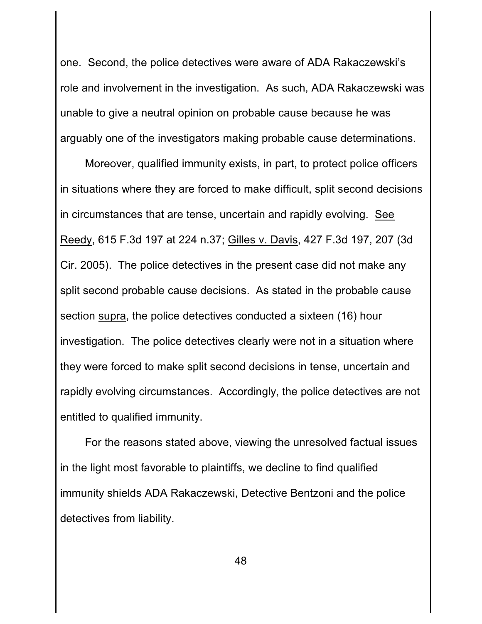one. Second, the police detectives were aware of ADA Rakaczewski's role and involvement in the investigation. As such, ADA Rakaczewski was unable to give a neutral opinion on probable cause because he was arguably one of the investigators making probable cause determinations.

Moreover, qualified immunity exists, in part, to protect police officers in situations where they are forced to make difficult, split second decisions in circumstances that are tense, uncertain and rapidly evolving. See Reedy, 615 F.3d 197 at 224 n.37; Gilles v. Davis, 427 F.3d 197, 207 (3d Cir. 2005). The police detectives in the present case did not make any split second probable cause decisions. As stated in the probable cause section supra, the police detectives conducted a sixteen (16) hour investigation. The police detectives clearly were not in a situation where they were forced to make split second decisions in tense, uncertain and rapidly evolving circumstances. Accordingly, the police detectives are not entitled to qualified immunity.

For the reasons stated above, viewing the unresolved factual issues in the light most favorable to plaintiffs, we decline to find qualified immunity shields ADA Rakaczewski, Detective Bentzoni and the police detectives from liability.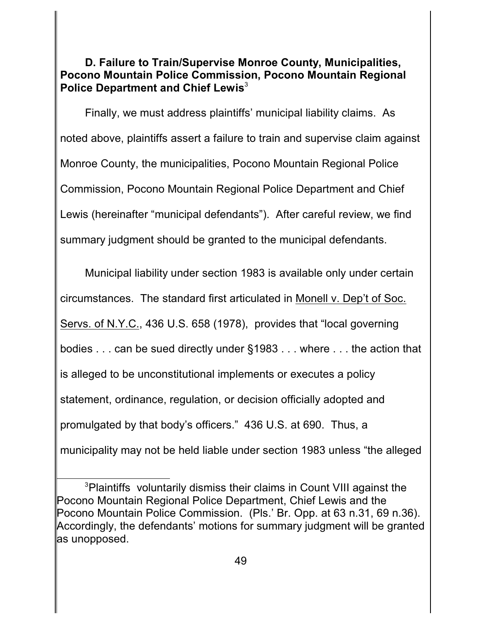**D. Failure to Train/Supervise Monroe County, Municipalities, Pocono Mountain Police Commission, Pocono Mountain Regional Police Department and Chief Lewis**<sup>3</sup>

Finally, we must address plaintiffs' municipal liability claims. As noted above, plaintiffs assert a failure to train and supervise claim against Monroe County, the municipalities, Pocono Mountain Regional Police Commission, Pocono Mountain Regional Police Department and Chief Lewis (hereinafter "municipal defendants"). After careful review, we find summary judgment should be granted to the municipal defendants.

Municipal liability under section 1983 is available only under certain circumstances. The standard first articulated in Monell v. Dep't of Soc. Servs. of N.Y.C., 436 U.S. 658 (1978), provides that "local governing bodies . . . can be sued directly under §1983 . . . where . . . the action that is alleged to be unconstitutional implements or executes a policy statement, ordinance, regulation, or decision officially adopted and promulgated by that body's officers." 436 U.S. at 690. Thus, a municipality may not be held liable under section 1983 unless "the alleged

<sup>&</sup>lt;sup>3</sup>Plaintiffs voluntarily dismiss their claims in Count VIII against the Pocono Mountain Regional Police Department, Chief Lewis and the Pocono Mountain Police Commission. (Pls.' Br. Opp. at 63 n.31, 69 n.36). Accordingly, the defendants' motions for summary judgment will be granted as unopposed.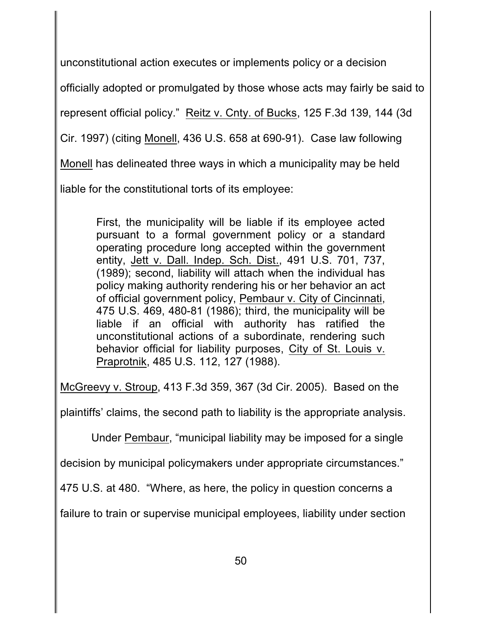unconstitutional action executes or implements policy or a decision

officially adopted or promulgated by those whose acts may fairly be said to

represent official policy." Reitz v. Cnty. of Bucks, 125 F.3d 139, 144 (3d

Cir. 1997) (citing Monell, 436 U.S. 658 at 690-91). Case law following

Monell has delineated three ways in which a municipality may be held

liable for the constitutional torts of its employee:

First, the municipality will be liable if its employee acted pursuant to a formal government policy or a standard operating procedure long accepted within the government entity, Jett v. Dall. Indep. Sch. Dist., 491 U.S. 701, 737, (1989); second, liability will attach when the individual has policy making authority rendering his or her behavior an act of official government policy, Pembaur v. City of Cincinnati, 475 U.S. 469, 480-81 (1986); third, the municipality will be liable if an official with authority has ratified the unconstitutional actions of a subordinate, rendering such behavior official for liability purposes, City of St. Louis v. Praprotnik, 485 U.S. 112, 127 (1988).

McGreevy v. Stroup, 413 F.3d 359, 367 (3d Cir. 2005). Based on the

plaintiffs' claims, the second path to liability is the appropriate analysis.

Under Pembaur, "municipal liability may be imposed for a single

decision by municipal policymakers under appropriate circumstances."

475 U.S. at 480. "Where, as here, the policy in question concerns a

failure to train or supervise municipal employees, liability under section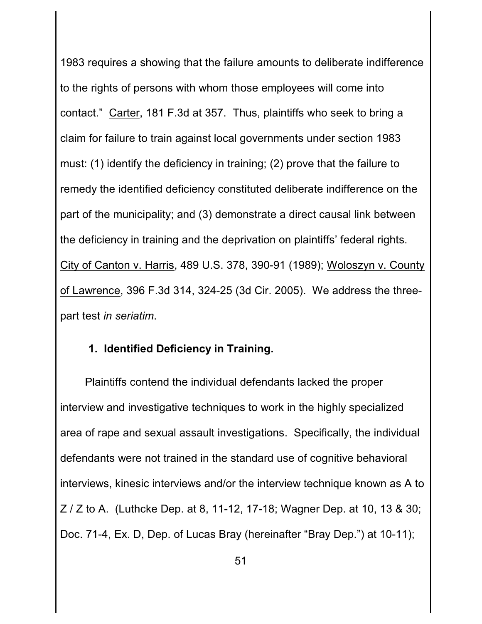1983 requires a showing that the failure amounts to deliberate indifference to the rights of persons with whom those employees will come into contact." Carter, 181 F.3d at 357. Thus, plaintiffs who seek to bring a claim for failure to train against local governments under section 1983 must: (1) identify the deficiency in training; (2) prove that the failure to remedy the identified deficiency constituted deliberate indifference on the part of the municipality; and (3) demonstrate a direct causal link between the deficiency in training and the deprivation on plaintiffs' federal rights. City of Canton v. Harris, 489 U.S. 378, 390-91 (1989); Woloszyn v. County of Lawrence, 396 F.3d 314, 324-25 (3d Cir. 2005). We address the threepart test *in seriatim*.

## **1. Identified Deficiency in Training.**

Plaintiffs contend the individual defendants lacked the proper interview and investigative techniques to work in the highly specialized area of rape and sexual assault investigations. Specifically, the individual defendants were not trained in the standard use of cognitive behavioral interviews, kinesic interviews and/or the interview technique known as A to Z / Z to A. (Luthcke Dep. at 8, 11-12, 17-18; Wagner Dep. at 10, 13 & 30; Doc. 71-4, Ex. D, Dep. of Lucas Bray (hereinafter "Bray Dep.") at 10-11);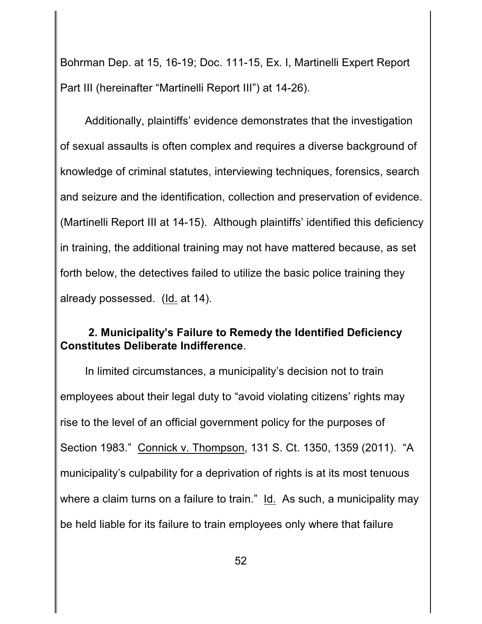Bohrman Dep. at 15, 16-19; Doc. 111-15, Ex. I, Martinelli Expert Report Part III (hereinafter "Martinelli Report III") at 14-26).

Additionally, plaintiffs' evidence demonstrates that the investigation of sexual assaults is often complex and requires a diverse background of knowledge of criminal statutes, interviewing techniques, forensics, search and seizure and the identification, collection and preservation of evidence. (Martinelli Report III at 14-15). Although plaintiffs' identified this deficiency in training, the additional training may not have mattered because, as set forth below, the detectives failed to utilize the basic police training they already possessed. (Id. at 14).

## **2. Municipality's Failure to Remedy the Identified Deficiency Constitutes Deliberate Indifference**.

In limited circumstances, a municipality's decision not to train employees about their legal duty to "avoid violating citizens' rights may rise to the level of an official government policy for the purposes of Section 1983." Connick v. Thompson, 131 S. Ct. 1350, 1359 (2011). "A municipality's culpability for a deprivation of rights is at its most tenuous where a claim turns on a failure to train." Id. As such, a municipality may be held liable for its failure to train employees only where that failure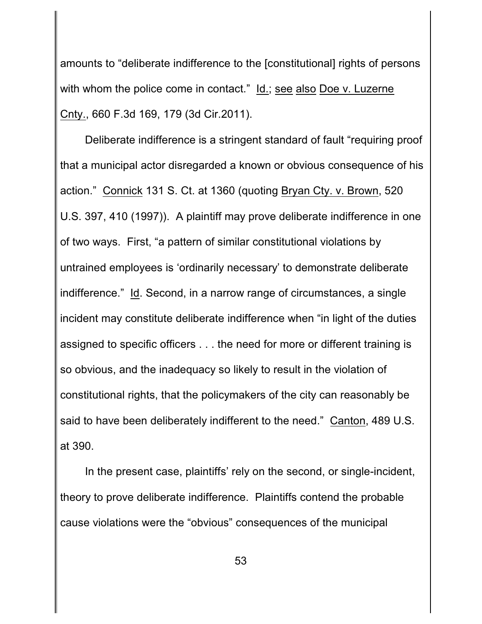amounts to "deliberate indifference to the [constitutional] rights of persons with whom the police come in contact." Id.; see also Doe v. Luzerne Cnty., 660 F.3d 169, 179 (3d Cir.2011).

Deliberate indifference is a stringent standard of fault "requiring proof that a municipal actor disregarded a known or obvious consequence of his action." Connick 131 S. Ct. at 1360 (quoting Bryan Cty. v. Brown, 520 U.S. 397, 410 (1997)). A plaintiff may prove deliberate indifference in one of two ways. First, "a pattern of similar constitutional violations by untrained employees is 'ordinarily necessary' to demonstrate deliberate indifference." Id. Second, in a narrow range of circumstances, a single incident may constitute deliberate indifference when "in light of the duties assigned to specific officers . . . the need for more or different training is so obvious, and the inadequacy so likely to result in the violation of constitutional rights, that the policymakers of the city can reasonably be said to have been deliberately indifferent to the need." Canton, 489 U.S. at 390.

In the present case, plaintiffs' rely on the second, or single-incident, theory to prove deliberate indifference. Plaintiffs contend the probable cause violations were the "obvious" consequences of the municipal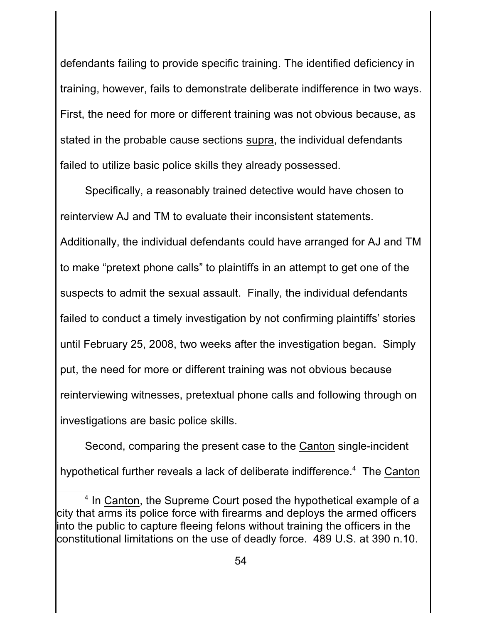defendants failing to provide specific training. The identified deficiency in training, however, fails to demonstrate deliberate indifference in two ways. First, the need for more or different training was not obvious because, as stated in the probable cause sections supra, the individual defendants failed to utilize basic police skills they already possessed.

Specifically, a reasonably trained detective would have chosen to reinterview AJ and TM to evaluate their inconsistent statements. Additionally, the individual defendants could have arranged for AJ and TM to make "pretext phone calls" to plaintiffs in an attempt to get one of the suspects to admit the sexual assault. Finally, the individual defendants failed to conduct a timely investigation by not confirming plaintiffs' stories until February 25, 2008, two weeks after the investigation began. Simply put, the need for more or different training was not obvious because reinterviewing witnesses, pretextual phone calls and following through on investigations are basic police skills.

Second, comparing the present case to the Canton single-incident hypothetical further reveals a lack of deliberate indifference.<sup>4</sup> The Canton

 $<sup>4</sup>$  In Canton, the Supreme Court posed the hypothetical example of a</sup> city that arms its police force with firearms and deploys the armed officers into the public to capture fleeing felons without training the officers in the constitutional limitations on the use of deadly force. 489 U.S. at 390 n.10.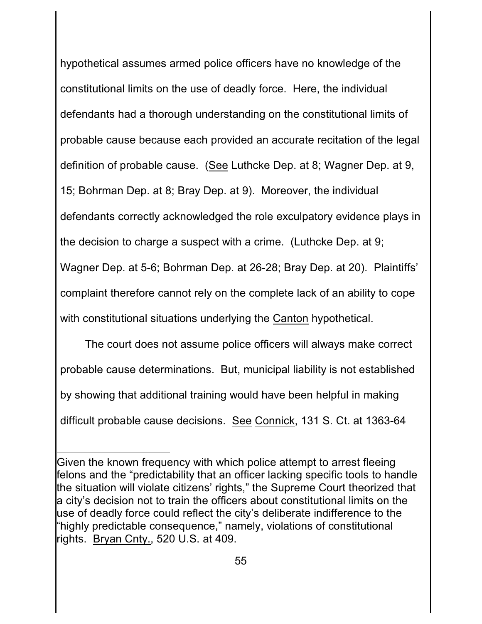hypothetical assumes armed police officers have no knowledge of the constitutional limits on the use of deadly force. Here, the individual defendants had a thorough understanding on the constitutional limits of probable cause because each provided an accurate recitation of the legal definition of probable cause. (See Luthcke Dep. at 8; Wagner Dep. at 9, 15; Bohrman Dep. at 8; Bray Dep. at 9). Moreover, the individual defendants correctly acknowledged the role exculpatory evidence plays in the decision to charge a suspect with a crime. (Luthcke Dep. at 9; Wagner Dep. at 5-6; Bohrman Dep. at 26-28; Bray Dep. at 20). Plaintiffs' complaint therefore cannot rely on the complete lack of an ability to cope with constitutional situations underlying the Canton hypothetical.

The court does not assume police officers will always make correct probable cause determinations. But, municipal liability is not established by showing that additional training would have been helpful in making difficult probable cause decisions. See Connick, 131 S. Ct. at 1363-64

Given the known frequency with which police attempt to arrest fleeing felons and the "predictability that an officer lacking specific tools to handle the situation will violate citizens' rights," the Supreme Court theorized that a city's decision not to train the officers about constitutional limits on the use of deadly force could reflect the city's deliberate indifference to the "highly predictable consequence," namely, violations of constitutional rights. Bryan Cnty., 520 U.S. at 409.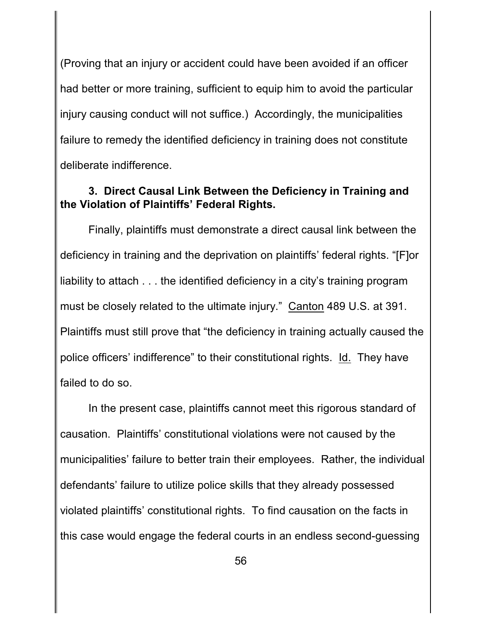(Proving that an injury or accident could have been avoided if an officer had better or more training, sufficient to equip him to avoid the particular injury causing conduct will not suffice.) Accordingly, the municipalities failure to remedy the identified deficiency in training does not constitute deliberate indifference.

## **3. Direct Causal Link Between the Deficiency in Training and the Violation of Plaintiffs' Federal Rights.**

Finally, plaintiffs must demonstrate a direct causal link between the deficiency in training and the deprivation on plaintiffs' federal rights. "[F]or liability to attach . . . the identified deficiency in a city's training program must be closely related to the ultimate injury." Canton 489 U.S. at 391. Plaintiffs must still prove that "the deficiency in training actually caused the police officers' indifference" to their constitutional rights. Id. They have failed to do so.

In the present case, plaintiffs cannot meet this rigorous standard of causation. Plaintiffs' constitutional violations were not caused by the municipalities' failure to better train their employees. Rather, the individual defendants' failure to utilize police skills that they already possessed violated plaintiffs' constitutional rights. To find causation on the facts in this case would engage the federal courts in an endless second-guessing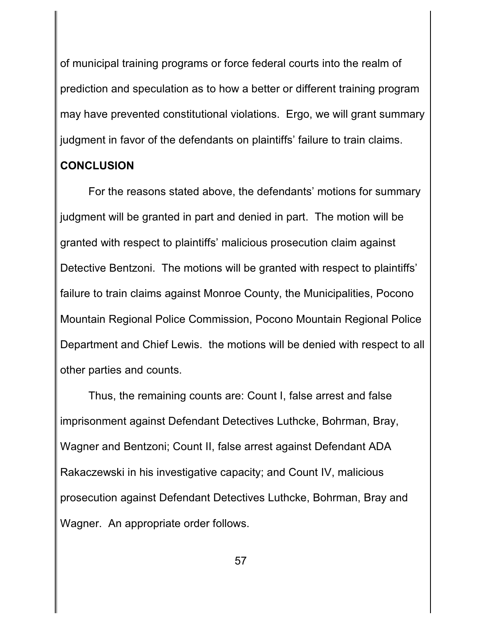of municipal training programs or force federal courts into the realm of prediction and speculation as to how a better or different training program may have prevented constitutional violations. Ergo, we will grant summary judgment in favor of the defendants on plaintiffs' failure to train claims.

# **CONCLUSION**

For the reasons stated above, the defendants' motions for summary judgment will be granted in part and denied in part. The motion will be granted with respect to plaintiffs' malicious prosecution claim against Detective Bentzoni. The motions will be granted with respect to plaintiffs' failure to train claims against Monroe County, the Municipalities, Pocono Mountain Regional Police Commission, Pocono Mountain Regional Police Department and Chief Lewis. the motions will be denied with respect to all other parties and counts.

Thus, the remaining counts are: Count I, false arrest and false imprisonment against Defendant Detectives Luthcke, Bohrman, Bray, Wagner and Bentzoni; Count II, false arrest against Defendant ADA Rakaczewski in his investigative capacity; and Count IV, malicious prosecution against Defendant Detectives Luthcke, Bohrman, Bray and Wagner. An appropriate order follows.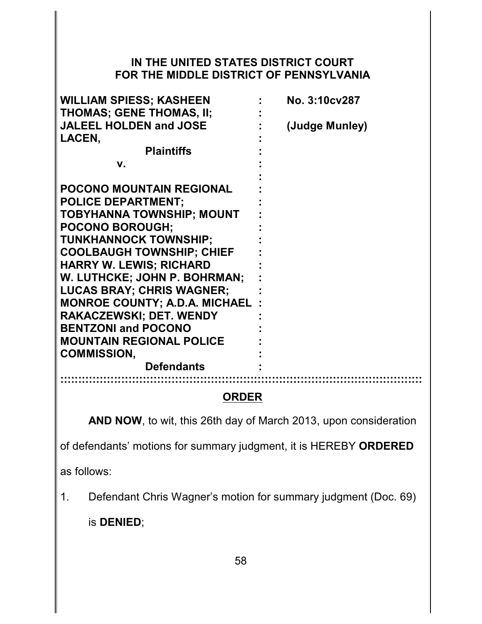## **IN THE UNITED STATES DISTRICT COURT FOR THE MIDDLE DISTRICT OF PENNSYLVANIA**

| <b>WILLIAM SPIESS; KASHEEN</b>        | No. 3:10cv287  |
|---------------------------------------|----------------|
| <b>THOMAS; GENE THOMAS, II;</b>       |                |
| <b>JALEEL HOLDEN and JOSE</b>         | (Judge Munley) |
| LACEN,                                |                |
| <b>Plaintiffs</b>                     |                |
| v.                                    |                |
|                                       |                |
| <b>POCONO MOUNTAIN REGIONAL</b>       |                |
| <b>POLICE DEPARTMENT;</b>             |                |
| <b>TOBYHANNA TOWNSHIP; MOUNT</b>      |                |
| <b>POCONO BOROUGH:</b>                |                |
| <b>TUNKHANNOCK TOWNSHIP:</b>          |                |
| <b>COOLBAUGH TOWNSHIP; CHIEF</b>      |                |
| <b>HARRY W. LEWIS; RICHARD</b>        |                |
| W. LUTHCKE; JOHN P. BOHRMAN;          |                |
| <b>LUCAS BRAY; CHRIS WAGNER;</b>      |                |
| <b>MONROE COUNTY; A.D.A. MICHAEL:</b> |                |
| <b>RAKACZEWSKI; DET. WENDY</b>        |                |
| <b>BENTZONI and POCONO</b>            |                |
| <b>MOUNTAIN REGIONAL POLICE</b>       |                |
| <b>COMMISSION,</b>                    |                |
| <b>Defendants</b>                     |                |
|                                       |                |

## **ORDER**

**AND NOW**, to wit, this 26th day of March 2013, upon consideration

of defendants' motions for summary judgment, it is HEREBY **ORDERED**

as follows:

1. Defendant Chris Wagner's motion for summary judgment (Doc. 69)

is **DENIED**;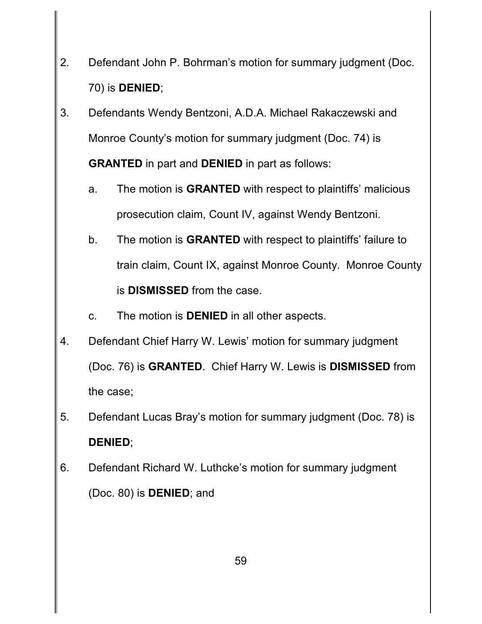- 2. Defendant John P. Bohrman's motion for summary judgment (Doc. 70) is **DENIED**;
- 3. Defendants Wendy Bentzoni, A.D.A. Michael Rakaczewski and Monroe County's motion for summary judgment (Doc. 74) is **GRANTED** in part and **DENIED** in part as follows:
	- a. The motion is **GRANTED** with respect to plaintiffs' malicious prosecution claim, Count IV, against Wendy Bentzoni.
	- b. The motion is **GRANTED** with respect to plaintiffs' failure to train claim, Count IX, against Monroe County. Monroe County is **DISMISSED** from the case.
	- c. The motion is **DENIED** in all other aspects.
- 4. Defendant Chief Harry W. Lewis' motion for summary judgment (Doc. 76) is **GRANTED**. Chief Harry W. Lewis is **DISMISSED** from the case;
- 5. Defendant Lucas Bray's motion for summary judgment (Doc. 78) is **DENIED**;
- 6. Defendant Richard W. Luthcke's motion for summary judgment (Doc. 80) is **DENIED**; and